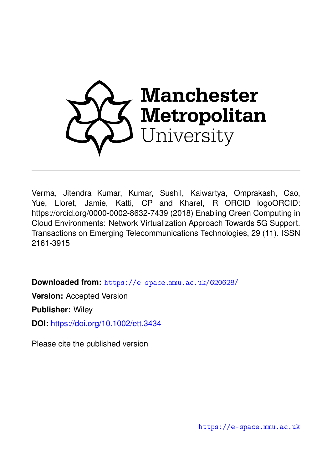

Verma, Jitendra Kumar, Kumar, Sushil, Kaiwartya, Omprakash, Cao, Yue, Lloret, Jamie, Katti, CP and Kharel, R ORCID logoORCID: https://orcid.org/0000-0002-8632-7439 (2018) Enabling Green Computing in Cloud Environments: Network Virtualization Approach Towards 5G Support. Transactions on Emerging Telecommunications Technologies, 29 (11). ISSN 2161-3915

**Downloaded from:** <https://e-space.mmu.ac.uk/620628/>

**Version:** Accepted Version

**Publisher:** Wiley

**DOI:** <https://doi.org/10.1002/ett.3434>

Please cite the published version

<https://e-space.mmu.ac.uk>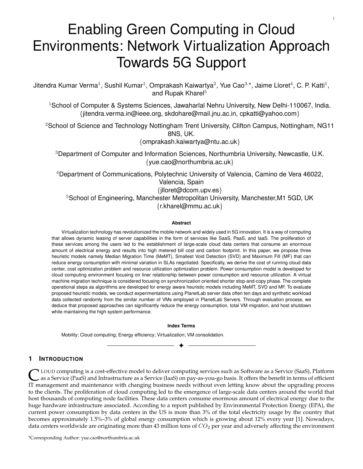# Enabling Green Computing in Cloud Environments: Network Virtualization Approach Towards 5G Support

i

Jitendra Kumar Verma<sup>1</sup>, Sushil Kumar<sup>1</sup>, Omprakash Kaiwartya<sup>2</sup>, Yue Cao<sup>3,\*</sup>, Jaime Lloret<sup>4</sup>, C. P. Katti<sup>1</sup>, and Rupak Kharel<sup>5</sup>

<sup>1</sup> School of Computer & Systems Sciences, Jawaharlal Nehru University, New Delhi-110067, India. {jitendra.verma.in@ieee.org, skdohare@mail.jnu.ac.in, cpkatti@yahoo.com}

<sup>2</sup>School of Science and Technology Nottingham Trent University, Clifton Campus, Nottingham, NG11 8NS, UK.

{omprakash.kaiwartya@ntu.ac.uk}

<sup>3</sup>Department of Computer and Information Sciences, Northumbria University, Newcastle, U.K. {yue.cao@northumbria.ac.uk}

<sup>4</sup>Department of Communications, Polytechnic University of Valencia, Camino de Vera 46022, Valencia, Spain {jlloret@dcom.upv.es} <sup>5</sup>School of Engineering, Manchester Metropolitan University, Manchester, M1 5GD, UK {r.kharel@mmu.ac.uk}

## **Abstract**

Virtualization technology has revolutionized the mobile network and widely used in 5G innovation. It is a way of computing that allows dynamic leasing of server capabilities in the form of services like SaaS, PaaS, and IaaS. The proliferation of these services among the users led to the establishment of large-scale cloud data centers that consume an enormous amount of electrical energy and results into high metered bill cost and carbon footprint. In this paper, we propose three heuristic models namely Median Migration Time (MeMT), Smallest Void Detection (SVD) and Maximum Fill (MF) that can reduce energy consumption with minimal variation in SLAs negotiated. Specifically, we derive the cost of running cloud data center, cost optimization problem and resource utilization optimization problem. Power consumption model is developed for cloud computing environment focusing on liner relationship between power consumption and resource utilization. A virtual machine migration technique is considered focusing on synchronization oriented shorter stop-and-copy phase. The complete operational steps as algorithms are developed for energy aware heuristic models including MeMT, SVD and MF. To evaluate proposed heuristic models, we conduct experimentations using PlanetLab server data often ten days and synthetic workload data collected randomly from the similar number of VMs employed in PlanetLab Servers. Through evaluation process, we deduce that proposed approaches can significantly reduce the energy consumption, total VM migration, and host shutdown while maintaining the high system performance.

#### **Index Terms**

✦

Mobility; Cloud computing; Energy efficiency; Virtualization; VM consolidation.

# **1 INTRODUCTION**

C LOUD computing is a cost-effective model to deliver computing services such as Software as a Service (SaaS), Platform<br>IT management and maintenance with changing business needs without even letting know about the upgradi LOUD computing is a cost-effective model to deliver computing services such as Software as a Service (SaaS), Platform as a Service (PaaS) and Infrastructure as a Service (IaaS) on pay-as-you-go basis. It offers the benefit in terms of efficient to the clients. The proliferation of cloud computing led to the emergence of large-scale data centers around the world that host thousands of computing node facilities. These data centers consume enormous amount of electrical energy due to the huge hardware infrastructure associated. According to a report published by Environmental Protection Energy (EPA), the current power consumption by data centers in the US is more than 3% of the total electricity usage by the country that becomes approximately 1.5%–3% of global energy consumption which is growing about 12% every year [\[1\]](#page-20-0). Nowadays, data centers worldwide are originating more than 43 million tons of  $CO<sub>2</sub>$  per year and adversely affecting the environment

\*Corresponding Author: yue.cao@northumbria.ac.uk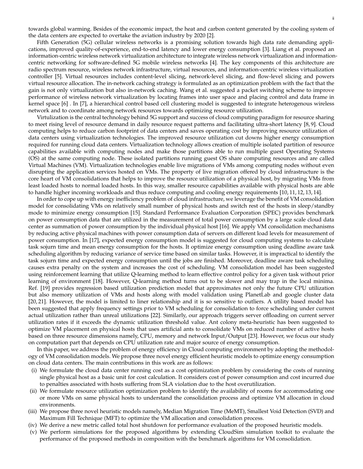towards global warming. Besides of the economic impact, the heat and carbon content generated by the cooling system of the data centers are expected to overtake the aviation industry by 2020 [\[2\]](#page-20-1).

Fifth Generation (5G) cellular wireless networks is a promising solution towards high data rate demanding applications, improved quality-of-experience, end-to-end latency and lower energy consumption [\[3\]](#page-20-2). Liang et al. proposed an information-centric wireless network virtualization architecture to integrate wireless network virtualization and informationcentric networking for software-defined 5G mobile wireless networks [\[4\]](#page-20-3). The key components of this architecture are radio spectrum resource, wireless network infrastructure, virtual resources, and information-centric wireless virtualization controller [\[5\]](#page-20-4). Virtual resources includes content-level slicing, network-level slicing, and flow-level slicing and powers virtual resource allocation. The in-network caching strategy is formulated as an optimization problem with the fact that the gain is not only virtualization but also in-network caching. Wang et al. suggested a packet switching scheme to improve performance of wireless network virtualization by locating frames into user space and placing control and data frame in kernel space [\[6\]](#page-20-5) . In [\[7\]](#page-20-6), a hierarchical control based cell clustering model is suggested to integrate heterogenous wireless network and to coordinate among network resources towards optimizing resource utilization.

Virtulization is the central technology behind 5G support and success of cloud computing paradigm for resource sharing to meet rising level of resource demand in daily resource request patterns and facilitating ultra-short latency [\[8,](#page-20-7) [9\]](#page-20-8). Cloud computing helps to reduce carbon footprint of data centers and saves operating cost by improving resource utilization of data centers using virtualization technologies. The improved resource utilization cut downs higher energy consumption required for running cloud data centers. Virtualization technology allows creation of multiple isolated partition of resource capabilities available with computing nodes and make those partitions able to run multiple guest Operating Systems (OS) at the same computing node. These isolated partitions running guest OS share computing resources and are called Virtual Machines (VM). Virtualization technologies enable live migrations of VMs among computing nodes without even disrupting the application services hosted on VMs. The property of live migration offered by cloud infrastructure is the core heart of VM consolidations that helps to improve the resource utilization of a physical host, by migrating VMs from least loaded hosts to normal loaded hosts. In this way, smaller resource capabilities available with physical hosts are able to handle higher incoming workloads and thus reduce computing and cooling energy requirements [\[10,](#page-20-9) [11,](#page-20-10) [12,](#page-20-11) [13,](#page-20-12) [14\]](#page-20-13).

In order to cope up with energy inefficiency problem of cloud infrastructure, we leverage the benefit of VM consolidation model for consolidating VMs on relatively small number of physical hosts and switch rest of the hosts in sleep/standby mode to minimize energy consumption [\[15\]](#page-20-14). Standard Performance Evaluation Corporation (SPEC) provides benchmark on power consumption data that are utilized in the measurement of total power consumption by a large scale cloud data center as summation of power consumption by the individual physical host [\[16\]](#page-21-0). We apply VM consolidation mechanisms by reducing active physical machines with power consumption data of servers on different load levels for measurement of power consumption. In [\[17\]](#page-21-1), expected energy consumption model is suggested for cloud computing systems to calculate task sojurn time and mean energy consumption for the hosts. It optimize energy consumption using deadline aware task scheduling algorithm by reducing variance of service time based on similar tasks. However, it is impractical to identify the task sojurn time and expected energy consumption until the jobs are finished. Moreover, deadline aware task scheduling causes extra penalty on the system and increases the cost of scheduling. VM consolidation model has been suggested using reinforcement learning that utilize Q-learning method to learn effective control policy for a given task without prior learning of environment [\[18\]](#page-21-2). However, Q-learning method turns out to be slower and may trap in the local minima. Ref. [\[19\]](#page-21-3) provides regression based utilization prediction model that approximates not only the future CPU utilization but also memory utilization of VMs and hosts along with model validation using PlanetLab and google cluster data [\[20,](#page-21-4) [21\]](#page-21-5). However, the model is limited to liner relationship and it is so sensitive to outliers. A utility based model has been suggested that apply frequency settings prior to VM scheduling for consolidation to force scheduling under current actual utilization rather than unreal utilizations [\[22\]](#page-21-6). Similarly, our approach triggers server offloading on current server utilization rates if it exceeds the dynamic utilization threshold value. Ant colony meta-heuristic has been suggested to optimize VM placement on physical hosts that uses artificial ants to consolidate VMs on reduced number of active hosts based on three resource dimensions namely, CPU, memory and network Input/Output [\[23\]](#page-21-7). However, we focus our study on computation part that depends on CPU utilization rate and major source of energy consumption.

In this paper, we address the problem of energy efficiency in Cloud computing environment by adopting the methodology of VM consolidation models. We propose three novel energy efficient heuristic models to optimize energy consumption on cloud data centers. The main contributions in this work are as follows:

- (i) We formulate the cloud data center running cost as a cost optimization problem by considering the costs of running single physical host as a basic unit for cost calculation. It considers cost of power consumption and cost incurred due to penalties associated with hosts suffering from SLA violation due to the host overutilization.
- (ii) We formulate resource utilization optimization problem to identify the availability of rooms for accommodating one or more VMs on same physical hosts to understand the consolidation process and optimize VM allocation in cloud environments.
- (iii) We propose three novel heuristic models namely, Median Migration Time (MeMT), Smallest Void Detection (SVD) and Maximum Fill Technique (MFT) to optimize the VM allocation and consolidation process.
- (iv) We derive a new metric called total host shutdown for performance evaluation of the proposed heuristic models.
- (v) We perform simulations for the proposed algorithms by extending CloudSim simulation toolkit to evaluate the performance of the proposed methods in composition with the benchmark algorithms for VM consolidation.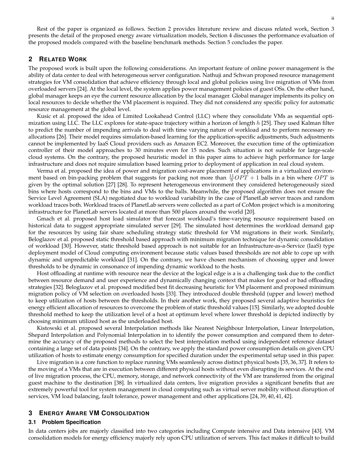Rest of the paper is organized as follows. Section [2](#page-3-0) provides literature review and discuss related work, Section [3](#page-3-1) presents the detail of the proposed energy aware virtualization models, Section [4](#page-12-0) discusses the performance evaluation of the proposed models compared with the baseline benchmark methods. Section [5](#page-20-15) concludes the paper.

# <span id="page-3-0"></span>**2 RELATED WORK**

The proposed work is built upon the following considerations. An important feature of online power management is the ability of data center to deal with heterogeneous server configuration. Nathuji and Schwan proposed resource management strategies for VM consolidation that achieve efficiency through local and global policies using live migration of VMs from overloaded servers [\[24\]](#page-21-8). At the local level, the system applies power management policies of guest OSs. On the other hand, global manager keeps an eye the current resource allocation by the local manager. Global manager implements its policy on local resources to decide whether the VM placement is required. They did not considered any specific policy for automatic resource management at the global level.

Kusic et al. proposed the idea of Limited Lookahead Control (LLC) where they consolidate VMs as sequential optimization using LLC. The LLC explores for state-space trajectory within a horizon of length  $h$  [\[25\]](#page-21-9). They used Kalman filter to predict the number of impending arrivals to deal with time varying nature of workload and to perform necessary reallocations [\[26\]](#page-21-10). Their model requires simulation-based learning for the application-specific adjustments, Such adjustments cannot be implemented by IaaS Cloud providers such as Amazon EC2. Moreover, the execution time of the optimization controller of their model approaches to 30 minutes even for 15 nodes. Such situation is not suitable for large-scale cloud systems. On the contrary, the proposed heuristic model in this paper aims to achieve high performance for large infrastructure and does not require simulation based learning prior to deployment of application in real cloud system.

Verma et al. proposed the idea of power and migration cost-aware placement of applications in a virtualized environment based on bin-packing problem that suggests for packing not more than  $\frac{11}{9}OPT + 1$  balls in a bin where  $OPT$  is given by the optimal solution [\[27\]](#page-21-11) [\[28\]](#page-21-12). To represent heterogeneous environment they considered heterogeneously sized bins where hosts correspond to the bins and VMs to the balls. Meanwhile, the proposed algorithm does not ensure the Service Level Agreement (SLA) negotiated due to workload variability in the case of PlanetLab server traces and random workload traces both. Workload traces of PlanetLab servers were collected as a part of CoMon project which is a monitoring infrastructure for PlanetLab servers located at more than 500 places around the world [\[20\]](#page-21-4).

Gmach et al. proposed host load simulator that forecast workload's time-varying resource requirement based on historical data to suggest appropriate simulated server [\[29\]](#page-21-13). The simulated host determines the workload demand gap for the resources by using fair share scheduling strategy static threshold for VM migrations in their work. Similarly, Beloglazov et al. proposed static threshold based approach with minimum migration technique for dynamic consolidation of workload [\[30\]](#page-21-14). However, static threshold based approach is not suitable for an Infrastructure-as-a-Service (IaaS) type deployment model of Cloud computing environment because static values based thresholds are not able to cope up with dynamic and unpredictable workload [\[31\]](#page-21-15). On the contrary, we have chosen mechanism of choosing upper and lower thresholds to be dynamic in consonance of impending dynamic workload to the hosts.

Host offloading at runtime with resource near the device at the logical edge is a is a challenging task due to the conflict between resource demand and user experience and dynamically changing context that makes for good or bad offloading strategies [\[32\]](#page-21-16). Beloglazov et al. proposed modified best fit decreasing heuristic for VM placement and proposed minimum migration policy of VM selection on overloaded hosts [\[33\]](#page-21-17). They introduced double threshold (upper and lower) method to keep utilization of hosts between the thresholds. In their another work, they proposed several adaptive heuristics for energy efficient allocation of resources to overcome the problem of static threshold values [\[15\]](#page-20-14). Similarly, we adopted double threshold method to keep the utilization level of a host at optimum level where lower threshold is depicted indirectly by choosing minimum utilized host as the underloaded host.

Kistowski et al. proposed several Interpolation methods like Nearest Neighbour Interpolation, Linear Interpolation, Shepard Interpolation and Polynomial Interpolation in to identify the power consumption and compared them to determine the accuracy of the proposed methods to select the best interpolation method using independent reference dataset containing a large set of data points [\[34\]](#page-21-18). On the contrary, we apply the standard power consumption details on given CPU utilization of hosts to estimate energy consumption for specified duration under the experimental setup used in this paper.

Live migration is a core function to replace running VMs seamlessly across distinct physical hosts [\[35,](#page-21-19) [36,](#page-21-20) [37\]](#page-21-21). It refers to the moving of a VMs that are in execution between different physical hosts without even disrupting its services. At the end of live migration process, the CPU, memory, storage, and network connectivity of the VM are transferred from the original guest machine to the destination [\[38\]](#page-21-22). In virtualized data centers, live migration provides a significant benefits that are extremely powerful tool for system management in cloud computing such as virtual server mobility without disruption of services, VM load balancing, fault tolerance, power management and other applications [\[24,](#page-21-8) [39,](#page-21-23) [40,](#page-21-24) [41,](#page-21-25) [42\]](#page-21-26).

# <span id="page-3-1"></span>**3 ENERGY AWARE VM CONSOLIDATION**

## **3.1 Problem Specification**

In data centers jobs are majorly classified into two categories including Compute intensive and Data intensive [\[43\]](#page-21-27). VM consolidation models for energy efficiency majorly rely upon CPU utilization of servers. This fact makes it difficult to build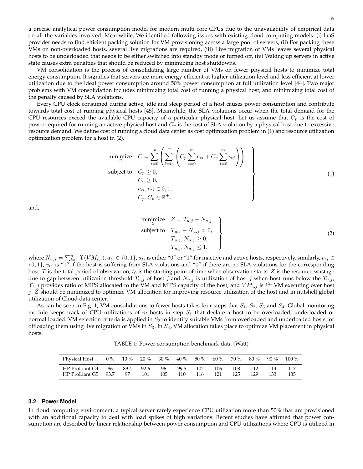a precise analytical power consumption model for modern multi core CPUs due to the unavailability of empirical data on all the variables involved. Meanwhile, We identified following issues with existing cloud computing models: (i) IaaS provider needs to find efficient packing solution for VM provisioning across a large pool of servers, (ii) For packing these VMs on non-overloaded hosts, several live migrations are required, (iii) Live migration of VMs leaves several physical hosts to be underloaded that needs to be either switched into standby mode or turned off, (iv) Waking up servers in active state causes extra penalties that should be reduced by minimizing host shutdowns.

VM consolidation is the process of consolidating large number of VMs on fewer physical hosts to minimize total energy consumption. It signifies that servers are more energy efficient at higher utilization level and less efficient at lower utilization due to the ideal power consumption around 50% power consumption at full utilization level [\[44\]](#page-21-28). Two major problems with VM consolidation includes minimizing total cost of running a physical host; and minimizing total cost of the penalty caused by SLA violations.

<span id="page-4-0"></span>Every CPU clock consumed during active, idle and sleep period of a host causes power consumption and contribute towards total cost of running physical hosts [\[45\]](#page-21-29). Meanwhile, the SLA violations occur when the total demand for the CPU resources exceed the available CPU capacity of a particular physical host. Let us assume that  $C_p$  is the cost of power required for running an active physical host and  $C_v$  is the cost of SLA violation by a physical host due to excessive resource demand. We define cost of running a cloud data center as cost optimization problem in [\(1\)](#page-4-0) and resource utilization optimization problem for a host in [\(2\)](#page-4-1).

$$
\begin{array}{ll}\n\text{minimize} & C = \sum_{i=0}^{m} \left( \sum_{t=t_0}^{T} \left( C_p \sum_{i=0}^{m} a_{ti} + C_v \sum_{j=0}^{m} v_{tj} \right) \right) \\
\text{subject to} & C_p \geq 0, \\
& C_v \geq 0, \\
& a_{ti}, v_{tj} \in 0, 1, \\
& C_p, C_v \in \mathbb{R}^+.\n\end{array} \tag{1}
$$

<span id="page-4-1"></span>and,

$$
\begin{aligned}\n\text{minimize} \quad Z &= T_{u,j} - N_{u,j} \\
\text{subject to} \quad T_{u,j} - N_{u,j} > 0, \\
T_{u,j}, N_{u,j} &\geq 0, \\
T_{u,j}, N_{u,j} &\leq 1,\n\end{aligned}\n\tag{2}
$$

where  $N_{u,j} = \sum_{i=1}^n \Upsilon(VM_{i,j})$ ,  $a_{ti} \in \{0,1\}$ ,  $a_{ti}$  is either "0" or "1" for inactive and active hosts, respectively. similarly,  $v_{tj} \in$  $\{0,1\}$ ,  $v_{tj}$  is "1" if the host is suffering from SLA violations and "0" if there are no SLA violations for the corresponding host. T is the total period of observation,  $t_0$  is the starting point of time when observation starts. Z is the resource wastage due to gap between utilization threshold  $T_{u,j}$  of host j and  $N_{u,j}$  is utilization of host j when host runs below the  $T_{u,j}$ ,  $\Upsilon(\cdot)$  provides ratio of MIPS allocated to the VM and MIPS capacity of the host, and  $VM_{i,j}$  is  $i^{th}$  VM executing over host  $j. Z$  should be minimized to optimize VM allocation for improving resource utilization of the host and in nutshell global utilization of Cloud data center.

<span id="page-4-2"></span>As can be seen in Fig. [1,](#page-5-0) VM consolidations to fewer hosts takes four steps that  $S_1$ ,  $S_2$ ,  $S_3$  and  $S_4$ . Global monitoring module keeps track of CPU utilizations of  $m$  hosts in step  $S_1$  that declare a host to be overloaded, underloaded or normal loaded. VM selection criteria is applied in  $S_2$  to identify suitable VMs from overloaded and underloaded hosts for offloading them using live migration of VMs in  $S_3$ . In  $S_4$ , VM allocation takes place to optimize VM placement in physical hosts.

TABLE 1: Power consumption benchmark data (Watt)

| Physical Host       | $0\%$ | $10\%$ |      | $20\%$ 30 % | $40\%$ | 50 % | 60 % | 70 % | 80 % | 90 % | $100\%$ |
|---------------------|-------|--------|------|-------------|--------|------|------|------|------|------|---------|
| HP ProLiant G4      | - 86  | 89.4   | 92.6 | -96         | 99.5   | 102  | 106  | 108. | 112  | 114  | 117     |
| HP ProLiant G5 93.7 |       | 97     | 101  | 105         | 110    | 116  | 121  | 125  | 129  | 133  | 135     |

#### **3.2 Power Model**

In cloud computing environment, a typical server rarely experience CPU utilization more than 50% that are provisioned with an additional capacity to deal with load spikes of high variations. Recent studies have affirmed that power consumption are described by linear relationship between power consumption and CPU utilizations where CPU is utilized in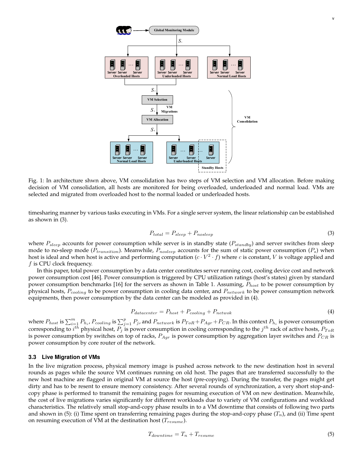<span id="page-5-0"></span>

Fig. 1: In architecture shwn above, VM consolidation has two steps of VM selection and VM allocation. Before making decision of VM consolidation, all hosts are monitored for being overloaded, underloaded and normal load. VMs are selected and migrated from overloaded host to the normal loaded or underloaded hosts.

<span id="page-5-1"></span>timesharing manner by various tasks executing in VMs. For a single server system, the linear relationship can be established as shown in [\(3\)](#page-5-1).

$$
P_{total} = P_{sleep} + P_{noisep} \tag{3}
$$

where  $P_{sleep}$  accounts for power consumption while server is in standby state ( $P_{standby}$ ) and server switches from sleep mode to no-sleep mode ( $P_{transition}$ ). Meanwhile,  $P_{noisep}$  accounts for the sum of static power consumption ( $P_s$ ) when host is ideal and when host is active and performing computation  $(c\cdot V^2\cdot f)$  where  $c$  is constant,  $V$  is voltage applied and  $f$  is CPU clock frequency.

In this paper, total power consumption by a data center constitutes server running cost, cooling device cost and network power consumption cost [\[46\]](#page-21-30). Power consumption is triggered by CPU utilization ratings (host's states) given by standard power consumption benchmarks [\[16\]](#page-21-0) for the servers as shown in Table [1.](#page-4-2) Assuming,  $P_{host}$  to be power consumption by physical hosts,  $P_{cooling}$  to be power consumption in cooling data center, and  $P_{network}$  to be power consumption network equipments, then power consumption by the data center can be modeled as provided in [\(4\)](#page-5-2).

$$
P_{datacenter} = P_{host} + P_{cooling} + P_{network} \tag{4}
$$

<span id="page-5-2"></span>where  $P_{host}$  is  $\sum_{i=1}^{m} P_{h_i}$ ,  $P_{cooling}$  is  $\sum_{j=1}^{p} P_j$ , and  $P_{network}$  is  $P_{ToR}$  +  $P_{Agr}$  +  $P_{CR}$ . In this context  $P_{h_i}$  is power consumption corresponding to  $i^{th}$  physical host,  $P_j$  is power consumption in cooling corresponding to the  $j^{th}$  rack of active hosts,  $P_{ToR}$ is power consumption by switches on top of racks,  $P_{Aqr}$  is power consumption by aggregation layer switches and  $P_{CR}$  is power consumption by core router of the network.

## **3.3 Live Migration of VMs**

<span id="page-5-3"></span>In the live migration process, physical memory image is pushed across network to the new destination host in several rounds as pages while the source VM continues running on old host. The pages that are transferred successfully to the new host machine are flagged in original VM at source the host (pre-copying). During the transfer, the pages might get dirty and has to be resent to ensure memory consistency. After several rounds of synchronization, a very short stop-andcopy phase is performed to transmit the remaining pages for resuming execution of VM on new destination. Meanwhile, the cost of live migrations varies significantly for different workloads due to variety of VM configurations and workload characteristics. The relatively small stop-and-copy phase results in to a VM downtime that consists of following two parts and shown in [\(5\)](#page-5-3): (i) Time spent on transferring remaining pages during the stop-and-copy phase  $(T_n)$ , and (ii) Time spent on resuming execution of VM at the destination host  $(T_{resume})$ .

$$
T_{downtime} = T_n + T_{resume} \tag{5}
$$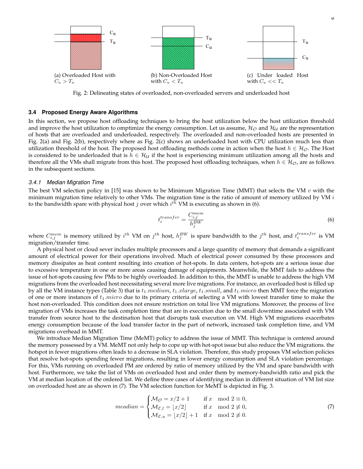<span id="page-6-0"></span>

Fig. 2: Delineating states of overloaded, non-overloaded servers and underloaded host

#### **3.4 Proposed Energy Aware Algorithms**

In this section, we propose host offloading techniques to bring the host utilization below the host utilization threshold and improve the host utilization to omptimize the energy consumption. Let us assume,  $\mathcal{H}_\mathcal{O}$  and  $\mathcal{H}_\mathcal{U}$  are the representation of hosts that are overloaded and underloaded, respectively. The overloaded and non-overloaded hosts are presented in Fig. [2\(a\)](#page-6-0) and Fig. [2\(b\),](#page-6-0) respectively where as Fig. [2\(c\)](#page-6-0) shows an underloaded host with CPU utilization much less than utilization threshold of the host. The proposed host offloading methods come in action when the host  $h \in H_{\mathcal{O}}$ . The Host is considered to be underloaded that is  $h \in H_U$  if the host is experiencing minimum utilization among all the hosts and therefore all the VMs shall migrate from this host. The proposed host offloading techniques, when  $h \in H_{\mathcal{O}}$ , are as follows in the subsequent sections.

#### *3.4.1 Median Migration Time*

<span id="page-6-1"></span>The best VM selection policy in [\[15\]](#page-20-14) was shown to be Minimum Migration Time (MMT) that selects the VM  $v$  with the minimum migration time relatively to other VMs. The migration time is the ratio of amount of memory utilized by VM  $i$ to the bandwidth spare with physical host  $j$  over which  $i^{t\bar{h}}$  VM is executing as shown in [\(6\)](#page-6-1).

$$
t_i^{transfer} = \frac{C_{i,j}^{mem}}{h_j^{BW}}
$$
\n(6)

where  $C_{i,j}^{mem}$  is memory utilized by  $i^{th}$  VM on  $j^{th}$  host,  $h_j^{BW}$  is spare bandwidth to the  $j^{th}$  host, and  $t_i^{transfer}$  is VM migration/transfer time.

A physical host or cloud sever includes multiple processors and a large quantity of memory that demands a significant amount of electrical power for their operations involved. Much of electrical power consumed by these processors and memory dissipates as heat content resulting into creation of hot-spots. In data centers, hot-spots are a serious issue due to excessive temperature in one or more areas causing damage of equipments. Meanwhile, the MMT fails to address the issue of hot-spots causing few PMs to be highly overloaded. In addition to this, the MMT is unable to address the high VM migrations from the overloaded host necessitating several more live migrations. For instance, an overloaded host is filled up by all the VM instance types (Table [3\)](#page-14-0) that is  $t_1$ .*medium,*  $t_1$ .*xlarge,*  $t_1$ .*small*, and  $t_1$ .*micro* then MMT force the migration of one or more instances of  $t_1.micro$  due to its primary criteria of selecting a VM with lowest transfer time to make the host non-overloaded. This condition does not ensure restriction on total live VM migrations. Moreover, the process of live migration of VMs increases the task completion time that are in execution due to the small downtime associated with VM transfer from source host to the destination host that disrupts task execution on VM. High VM migrations exacerbates energy consumption because of the load transfer factor in the part of network, increased task completion time, and VM migrations overhead in MMT.

<span id="page-6-2"></span>We introduce Median Migration Time (MeMT) policy to address the issue of MMT. This technique is centered around the memory possessed by a VM. MeMT not only help to cope up with hot-spot issue but also reduce the VM migrations. the hotspot in fewer migrations often leads to a decrease in SLA violation. Therefore, this study proposes VM selection policies that resolve hot-spots spending fewer migrations, resulting in lower energy consumption and SLA violation percentage. For this, VMs running on overloaded PM are ordered by ratio of memory utilized by the VM and spare bandwidth with host. Furthermore, we take the list of VMs on overloaded host and order them by memory-bandwidth ratio and pick the VM at median location of the ordered list. We define three cases of identifying median in different situation of VM list size on overloaded host are as shown in [\(7\)](#page-6-2). The VM selection function for MeMT is depicted in Fig. [3.](#page-7-0)

$$
median = \begin{cases} \mathcal{M}_{\mathcal{O}} = x/2 + 1 & \text{if } x \mod 2 \equiv 0, \\ \mathcal{M}_{\mathcal{E},l} = \lfloor x/2 \rfloor & \text{if } x \mod 2 \not\equiv 0, \\ \mathcal{M}_{\mathcal{E},u} = \lfloor x/2 \rfloor + 1 & \text{if } x \mod 2 \not\equiv 0. \end{cases}
$$
(7)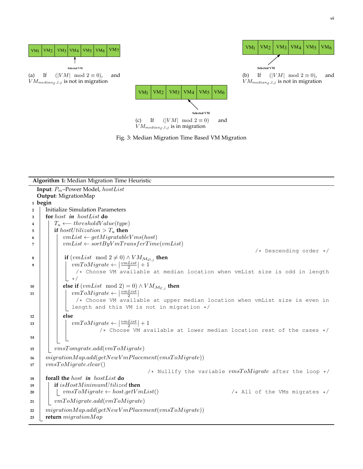<span id="page-7-0"></span>



<span id="page-7-1"></span>

|                | <b>Algorithm 1:</b> Median Migration Time Heuristic                             |
|----------------|---------------------------------------------------------------------------------|
|                | <b>Input:</b> $P_m$ -Power Model, hostList                                      |
|                | Output: MigrationMap                                                            |
|                | 1 begin                                                                         |
| $\overline{2}$ | <b>Initialize Simulation Parameters</b>                                         |
| 3              | for host in hostList do                                                         |
| 4              | $T_u \longleftarrow thresholdValue(type)$                                       |
| 5              | if hostUtilization > $T_u$ then                                                 |
| 6              | $vmList \leftarrow getMigratableVms(host)$                                      |
| 7              | $vmList \leftarrow sortByVmTransferTime(vmList)$                                |
|                | $/*$ Descending order $*/$                                                      |
| 8              | if $(vmList \mod 2 \neq 0) \wedge VM_{\mathcal{M}_{\mathcal{O},j}}$ then        |
| 9              | $vmToMigrate \leftarrow \left \frac{vmList}{2}\right +1$                        |
|                | /* Choose VM available at median location when vmList size is odd in length     |
|                | $\star/$                                                                        |
| 10             | else if $(vmList \mod 2) = 0) \wedge VM_{\mathcal{M}_{\mathcal{E},j}}$ then     |
| 11             | $vmToMigrate \leftarrow \left \frac{vmList}{2}\right $                          |
|                | /* Choose VM available at upper median location when vmList size is even in     |
|                | length and this VM is not in migration */                                       |
| 12             | else                                                                            |
| 13             | $vmToMigrate \leftarrow \left \frac{vmList}{2}\right +1$                        |
|                | /* Choose VM available at lower median location rest of the cases */            |
| 14             |                                                                                 |
|                |                                                                                 |
| 15             | vmsTomgrate.add(vmToMigrate)                                                    |
| 16             | $migration Map.add(getNewV mPlacement(vmsToMigrate))$                           |
| 17             | vmsToMigrate. clear()                                                           |
|                | /* Nullify the variable $vmsToMigrate$ after the loop */                        |
| 18             | forall the <i>host</i> in <i>hostList</i> do                                    |
| 19             | if isHostMinimumUtilized then                                                   |
| 20             | $vmsToMigrate \leftarrow host.getVmList()$<br>$/*$ All of the VMs migrates $*/$ |
| 21             | vmToMigrate.add(vmToMigrate)                                                    |
| 22             | $migration Map.add(getNewV mPlacement(vm sToMigrate))$                          |
| 23             | return $migrationMap$                                                           |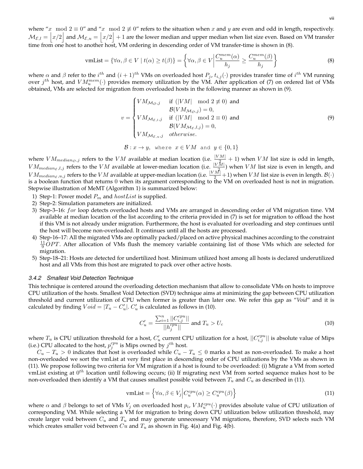<span id="page-8-0"></span>where "x mod  $2 \equiv 0$ " and "x mod  $2 \not\equiv 0$ " refers to the situation when x and y are even and odd in length, respectively.  $\mathcal{M}_{\mathcal{E},l}=\bigl|x/2\bigr|$  and  $\mathcal{M}_{\mathcal{E},u}=\bigl|x/2\bigr|+1$  are the lower median and upper median when list size even. Based on VM transfer time from one host to another host, VM ordering in descending order of VM transfer-time is shown in [\(8\)](#page-8-0).

$$
\text{vmList} = \{ \forall \alpha, \beta \in V \mid t(\alpha) \ge t(\beta) \} = \left\{ \forall \alpha, \beta \in V \middle| \frac{C_u^{mem}(\alpha)}{h_j} \ge \frac{C_u^{mem}(\beta)}{h_j} \right\} \tag{8}
$$

<span id="page-8-1"></span>where  $\alpha$  and  $\beta$  refer to the  $i^{th}$  and  $(i+1)^{th}$  VMs on overloaded host  $P_j$ ,  $t_{i,j}(\cdot)$  provides transfer time of  $i^{th}$  VM running over  $j^{th}$  host, and  $VM^{mem}_u(\cdot)$  provides memory utilization by the VM. After application of [\(7\)](#page-6-2) on ordered list of VMs obtained, VMs are selected for migration from overloaded hosts in the following manner as shown in [\(9\)](#page-8-1).

$$
v = \begin{cases} VM_{\mathcal{M}_{\mathcal{O}},j} & \text{if } (|VM| \mod 2 \neq 0) \text{ and} \\ \mathcal{B}(VM_{\mathcal{M}_{\mathcal{O}},j}) = 0, \\ VM_{\mathcal{M}_{\mathcal{E},l},j} & \text{if } (|VM| \mod 2 \equiv 0) \text{ and} \\ \mathcal{B}(VM_{\mathcal{M}_{\mathcal{E},l},j}) = 0, \\ VM_{\mathcal{M}_{\mathcal{E},u},j} & \text{otherwise.} \end{cases}
$$
(9)

$$
\mathcal{B}: x \to y, \text{ where } x \in VM \text{ and } y \in \{0, 1\}
$$

where  $VM_{median_{\mathcal{O}},j}$  refers to the  $VM$  available at median location (i.e.  $\frac{|VM|}{|N^2|}+1$ ) when  $VM$  list size is odd in length,  $VM_{median_{\mathcal{E}},l,j}$  refers to the  $VM$  available at lower-median location (i.e.  $\frac{|V\bar{M}|}{|V\|}$ ) when  $VM$  list size is even in length, and  $VM_{median_{\mathcal{E}},u,j}$  refers to the  $VM$  available at upper-median location (i.e.  $\frac{|VM|}{2}+1$ ) when  $VM$  list size is even in length.  $\mathcal{B}(\cdot)$ is a boolean function that returns 0 when its argument corresponding to the VM on overloaded host is not in migration. Stepwise illustration of MeMT (Algorithm [1\)](#page-7-1) is summarized below:

- 1) Step-1: Power model  $P_m$  and  $hostList$  is supplied.
- 2) Step-2: Simulation parameters are initialized.
- 3) Step-3–16: for loop detects overloaded hosts and VMs are arranged in descending order of VM migration time. VM available at median location of the list according to the criteria provided in [\(7\)](#page-6-2) is set for migration to offload the host if this VM is not already under migration. Furthermore, the host is evaluated for overloading and step continues until the host will become non-overloaded. It continues until all the hosts are processed.
- 4) Step-16–17: All the migrated VMs are optimally packed/placed on active physical machines according to the constraint  $\frac{11}{9}$ OPT. After allocation of VMs flush the memory variable containing list of those VMs which are selected for migration.
- 5) Step-18–21: Hosts are detected for undertilized host. Minimum utilized host among all hosts is declared underutilized host and all VMs from this host are migrated to pack over other active hosts.

#### *3.4.2 Smallest Void Detection Technique*

This technique is centered around the overloading detection mechanism that allow to consolidate VMs on hosts to improve CPU utilization of the hosts. Smallest Void Detection (SVD) technique aims at minimizing the gap between CPU utilization threshold and current utilization of CPU when former is greater than later one. We refer this gap as "*Void*" and it is calculated by finding  $Void = |T_u - C'_u|$ .  $C'_u$  is calculated as follows in [\(10\)](#page-8-2).

$$
C'_{u} = \frac{\sum_{i=1}^{n} ||C_{i,j}^{cpu}||}{||h_j^{cpu}||} \text{ and } T_u > U_c
$$
\n(10)

<span id="page-8-2"></span>where  $T_u$  is CPU utilization threshold for a host,  $C'_u$  current CPU utilization for a host,  $||C^{cpu}_{i,j}||$  is absolute value of Mips (i.e.) CPU allocated to the host,  $p_j^{cpu}$  is Mips owned by  $j^{th}$  host.

 $C_u - T_u > 0$  indicates that host is overloaded while  $C_u - T_u \leq 0$  marks a host as non-overloaded. To make a host non-overloaded we sort the vmList at very first place in descending order of CPU utilizations by the VMs as shown in [\(11\)](#page-8-3). We propose following two criteria for VM migration if a host is found to be overloaded: (i) Migrate a VM from sorted vmList existing at  $0^{th}$  location until following occurs; (ii) If migrating next VM from sorted sequence makes host to be non-overloaded then identify a VM that causes smallest possible void between  $T_u$  and  $C_u$  as described in [\(11\)](#page-8-3).

$$
\text{vmList} = \left\{ \forall \alpha, \beta \in V_j \middle| C_u^{cpu}(\alpha) \ge C_u^{cpu}(\beta) \right\} \tag{11}
$$

<span id="page-8-3"></span>where  $\alpha$  and  $\beta$  belongs to set of VMs  $V_j$  on overloaded host  $p_i$ ,  $VM_u^{cpu}(\cdot)$  provides absolute value of CPU utilization of corresponding VM. While selecting a VM for migration to bring down CPU utilization below utilization threshold, may create larger void between  $C_u$  and  $T_u$  and may generate unnecessary VM migrations, therefore, SVD selects such VM which creates smaller void between  $Cu$  and  $T_u$  as shown in Fig. [4\(a\)](#page-10-0) and Fig. [4\(b\).](#page-10-0)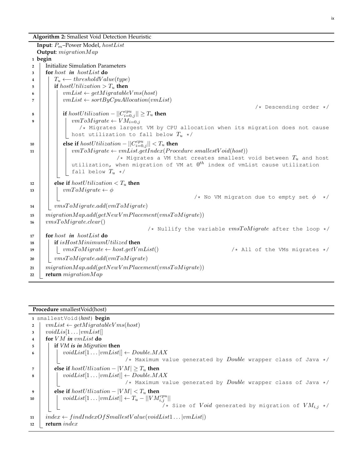ix

**Algorithm 2:** Smallest Void Detection Heuristic

```
Input: Pm–Power Model, hostList
  Output: migrationMap
1 begin
2 Initialize Simulation Parameters
3 for host in hostList do
4 \vert T<sub>u</sub> ← thresholdValue(type)
5 if hostUtilization > T_u then
6 \vert \vert vmList \leftarrow getMigratableVms(host)7 \vert \vert \vert vmList \leftarrow sortByCpuAllocation(vmList)/* Descending order */
 8 i if hostUtilization - ||C_{i=0,j}^{cpu}|| \geq T_u then
9 \vert \vert \vert vmToMigrate \leftarrow VM_{i=0,j}/* Migrates largest VM by CPU allocation when its migration does not cause
               host utilization to fall below T_u */
\begin{array}{|c|c|c|c|}\hline \textbf{10} & \textbf{else if } hostUtilization - ||C_{i=0,j}^{cpu}|| < T_u \textbf{ then} \hline \end{array}11 \vert \vert \vert \vert vmToMigrate \leftarrow vmList.getIndex(Procedure smallestVoid(host))
                                 /* Migrates a VM that creates smallest void between T_u and host
                utilization, when migration of VM at 0^{th} index of vmList cause utilization
                fall below T_u */
12 else if host Utilization \langle T_u \rangle then
13 \vert \vert vmToMigrate \leftarrow \phi/* No VM migraton due to empty set \phi \rightarrow/
14 wmsToMigrate.add(vmToMigrate)
15 migrationMap.add(getNewVmPlacement(vmsToMigrate))
16 \vert \text{ } \textit{vmsToM} \textit{ight}.\textit{clear}()/* Nullify the variable vmsToMigrate after the loop */
17 for host in hostList do
18 if isHostM inimumU tilized then
19 \vert \vert vmsToMigrate \leftarrow host.getVmList() \qquad /* All of the VMs migrates */
20 wmsToMigrate.add(vmToMigrate)
21 | migration Map.add(getNewVmPlacement(vmsToMigrate))22 return migrationM ap
```
#### **Procedure** smallestVoid(host)

<span id="page-9-0"></span>

|                | 1 smallestVoid(host) begin                                           |
|----------------|----------------------------------------------------------------------|
| $\overline{2}$ | $vmList \leftarrow getMigratableVms(host)$                           |
| $\mathbf{3}$   | $voidList[1 \dots  vmList]]$                                         |
| $\overline{4}$ | for $VM$ in $vmList$ do                                              |
| 5              | if VM is in Migration then                                           |
| 6              | $voidList[1 \dots  vmList]] \leftarrow DoubleMAX$                    |
|                | /* Maximum value generated by <i>Double</i> wrapper class of Java */ |
|                | else if $hostUtilization -  VM  \geq T_u$ then                       |
| -8             | $voidList[1 \dots  vmList]] \leftarrow DoubleMAX$                    |
|                | /* Maximum value generated by <i>Double</i> wrapper class of Java */ |
| 9              | else if $hostUtilization -  VM  < T_u$ then                          |
| 10             | $voidList[1\ldots vmList]] \leftarrow T_u -   VM_{i,j}^{cpu}  $      |
|                | /* Size of <i>Void</i> generated by migration of $VM_{i,j}$ */       |
| 11             | $index \leftarrow findIndexOfSmallestValue(voidList1 vmList )$       |
| 12             | return <i>index</i>                                                  |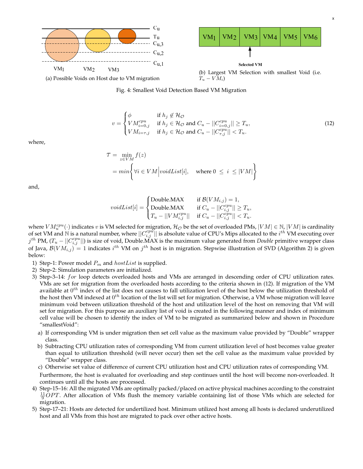<span id="page-10-0"></span>

<span id="page-10-1"></span>(a) Possible Voids on Host due to VM migration

 $T_u - VM_i$ 



$$
v = \begin{cases} \phi & \text{if } h_j \notin \mathcal{H}_{\mathcal{O}} \\ VM_{i=0,j}^{cpu} & \text{if } h_j \in \mathcal{H}_{\mathcal{O}} \text{ and } C_u - ||C_{i=0,j}^{cpu}|| \ge T_u, \\ VM_{i=\tau,j} & \text{if } h_j \in \mathcal{H}_{\mathcal{O}} \text{ and } C_u - ||C_{\tau,j}^{cpu}|| < T_u. \end{cases}
$$
(12)

where,

$$
\mathcal{T} = \min_{z \in VM} f(z)
$$
  
=  $min \left\{ \forall i \in VM \middle| voidList[i], \text{ where } 0 \le i \le |VM| \right\}$ 

and,

$$
voidList[i] = \begin{cases} \text{Double.MAX} & \text{if } \mathcal{B}(VM_{i,j}) = 1, \\ \text{Double.MAX} & \text{if } C_u - ||C_{i,j}^{cpu}|| \ge T_u, \\ T_u - ||VM_{i,j}^{cpu}|| & \text{if } C_u - ||C_{i,j}^{cpu}|| < T_u. \end{cases}
$$

where  $VM^{cpu}_u(\cdot)$  indicates  $v$  is VM selected for migration,  $\mathcal{H}_\mathcal{O}$  be the set of overloaded PMs,  $|VM| \in \mathbb{N}, |VM|$  is cardinality of set VM and  $\stackrel{>}{\rm N}$  is a natural number, where  $||C_{i,j}^{cpu}||$  is absolute value of CPU's Mips allocated to the  $i^{th}$  VM executing over  $j^{th}$  PM,  $(T_u - ||C_{i,j}^{cpu}||)$  is size of void, Double.MAX is the maximum value generated from *Double* primitive wrapper class of Java,  $\mathcal{B}(VM_{i,j})^{\tilde{}}=1$  indicates  $i^{th}$  VM on  $j^{th}$  host is in migration. Stepwise illustration of SVD (Algorithm [2\)](#page-9-1) is given below:

- 1) Step-1: Power model  $P_m$  and  $hostList$  is supplied.
- 2) Step-2: Simulation parameters are initialized.
- 3) Step-3–14: for loop detects overloaded hosts and VMs are arranged in descending order of CPU utilization rates. VMs are set for migration from the overloaded hosts according to the criteria shown in [\(12\)](#page-10-1). If migration of the VM available at  $0^{th}$  index of the list does not causes to fall utilization level of the host below the utilization threshold of the host then VM indexed at  $0^{th}$  location of the list will set for migration. Otherwise, a VM whose migration will leave minimum void between utilization threshold of the host and utilization level of the host on removing that VM will set for migration. For this purpose an auxiliary list of void is created in the following manner and index of minimum cell value will be chosen to identify the index of VM to be migrated as summarized below and shown in Procedure ["smallestVoid"](#page-9-0):
	- a) If corresponding VM is under migration then set cell value as the maximum value provided by "Double" wrapper class.
	- b) Subtracting CPU utilization rates of corresponding VM from current utilization level of host becomes value greater than equal to utilization threshold (will never occur) then set the cell value as the maximum value provided by "Double" wrapper class.
	- c) Otherwise set value of difference of current CPU utilization host and CPU utilization rates of corresponding VM. Furthermore, the host is evaluated for overloading and step continues until the host will become non-overloaded. It continues until all the hosts are processed.
- 4) Step-15–16: All the migrated VMs are optimally packed/placed on active physical machines according to the constraint  $\frac{11}{9}$ OPT. After allocation of VMs flush the memory variable containing list of those VMs which are selected for migration.
- 5) Step-17–21: Hosts are detected for undertilized host. Minimum utilized host among all hosts is declared underutilized host and all VMs from this host are migrated to pack over other active hosts.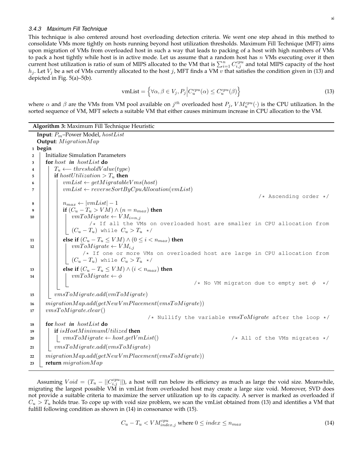## *3.4.3 Maximum Fill Technique*

This technique is also centered around host overloading detection criteria. We went one step ahead in this method to consolidate VMs more tightly on hosts running beyond host utilization thresholds. Maximum Fill Technique (MFT) aims upon migration of VMs from overloaded host in such a way that leads to packing of a host with high numbers of VMs to pack a host tightly while host is in active mode. Let us assume that a random host has  $n$  VMs executing over it then current host utilization is ratio of sum of MIPS allocated to the VM that is  $\sum_{i=1}^n C_{i,j}^{cpu}$  and total MIPS capacity of the host  $h_j$ . Let  $V_j$  be a set of VMs currently allocated to the host j, MFT finds a VM v that satisfies the condition given in [\(13\)](#page-11-0) and depicted in Fig. [5\(a\)–5\(b\).](#page-12-1)

$$
\text{vmList} = \left\{ \forall \alpha, \beta \in V_j, P_j \middle| C_u^{cpu}(\alpha) \le C_u^{cpu}(\beta) \right\} \tag{13}
$$

<span id="page-11-0"></span>where  $\alpha$  and  $\beta$  are the VMs from VM pool available on  $j^{th}$  overloaded host  $P_j$ ,  $VM_u^{cpu}(\cdot)$  is the CPU utilization. In the sorted sequence of VM, MFT selects a suitable VM that either causes minimum increase in CPU allocation to the VM.

<span id="page-11-2"></span>**Algorithm 3:** Maximum Fill Technique Heuristic **Input**: Pm–Power Model, hostList **Output**: *MigrationMap* **<sup>1</sup> begin <sup>2</sup>** Initialize Simulation Parameters **<sup>3</sup> for** host *in* hostList **do 4**  $\vert$  T<sub>u</sub> ← thresholdValue(type) **5 i if** host Utilization >  $T_u$  **then 6**  $\vert$   $\vert$   $\vert$   $vmList \leftarrow getMigratableVms(host)$  $\tau$  | |  $vmList \leftarrow reverseSortByCpuAllocation(vmList)$ /\* Ascending order \*/ **8**  $\vert$   $\vert$   $n_{max} \leftarrow |vmList|-1$ **9 i if**  $(C_u - T_u > VM) \wedge (n = n_{max})$  **then** 10 | | |  $vmToMigrate \leftarrow VM_{i=n,j}$ /\* If all the VMs on overloaded host are smaller in CPU allocation from  $(C_u-T_u)$  while  $C_u>T_u$  \*/ **11 else if**  $(C_u - T_u \leq VM) \wedge (0 \leq i < n_{max})$  **then** 12 | | |  $vmToMigrate \leftarrow VM_{i,j}$ /\* If one or more VMs on overloaded host are large in CPU allocation from  $\left(\begin{array}{cc} (C_u-T_u) & \text{while } C_u > T_u \end{array}\right)$ **13 else if**  $(C_u - T_u \leq VM) \wedge (i < n_{max})$  **then 14**  $\vert$   $\vert$   $\vert$   $vmToMigrate \leftarrow \phi$ /\* No VM migraton due to empty set  $\phi \rightarrow$ / **15** wmsToMigrate.add(vmToMigrate)  $16$  migrationMap.add(getNewVmPlacement(vmsToMigrate)) **17** vmsToMigrate.clear() /\* Nullify the variable  $vmsToMigrate$  after the loop \*/ **<sup>18</sup> for** host *in* hostList **do <sup>19</sup> if** isHostM inimumU tilized **then**  $20$  vmsToMigrate  $\leftarrow host.getVmlist()$  /\* All of the VMs migrates \*/ 21 | vmsToMigrate.add(vmsToMigrate)  $22$  migrationMap.add(getNewVmPlacement(vmsToMigrate)) **<sup>23</sup> return** migrationM ap

<span id="page-11-1"></span>Assuming  $Void = (T_u - ||C_{i,j}^{cpu}||)$ , a host will run below its efficiency as much as large the void size. Meanwhile, migrating the largest possible VM in vmList from overloaded host may create a large size void. Moreover, SVD does not provide a suitable criteria to maximize the server utilization up to its capacity. A server is marked as overloaded if  $C_u > T_u$  holds true. To cope up with void size problem, we scan the vmList obtained from [\(13\)](#page-11-0) and identifies a VM that fulfill following condition as shown in [\(14\)](#page-11-1) in consonance with [\(15\)](#page-12-2).

$$
C_u - T_u < VM_{index,j}^{cpu} \text{ where } 0 \leq index \leq n_{max} \tag{14}
$$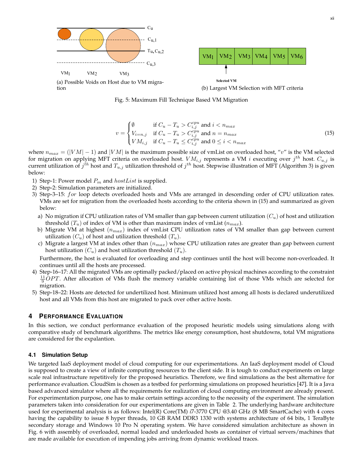<span id="page-12-1"></span>

Fig. 5: Maximum Fill Technique Based VM Migration

$$
v = \begin{cases} \emptyset & \text{if } C_u - T_u > C_{i,j}^{cpu} \text{ and } i < n_{max} \\ V_{i=n,j} & \text{if } C_u - T_u > C_{i,j}^{cpu} \text{ and } n = n_{max} \\ V M_{i,j} & \text{if } C_u - T_u \le C_{i,j}^{cpu} \text{ and } 0 \le i < n_{max} \end{cases}
$$
(15)

<span id="page-12-2"></span>where  $n_{max} = (|VM| - 1)$  and  $|VM|$  is the maximum possible size of vmList on overloaded host, "v" is the VM selected for migration on applying MFT criteria on overloaded host.  $VM_{i,j}$  represents a VM  $i$  executing over  $j^{th}$  host.  $C_{u,j}$  is current utilization of  $j^{th}$  host and  $T_{u,j}$  utilization threshold of  $j^{th}$  host. Stepwise illustration of MFT (Algorithm [3\)](#page-11-2) is given below:

- 1) Step-1: Power model  $P_m$  and  $hostList$  is supplied.
- 2) Step-2: Simulation parameters are initialized.
- 3) Step-3–15: for loop detects overloaded hosts and VMs are arranged in descending order of CPU utilization rates. VMs are set for migration from the overloaded hosts according to the criteria shown in [\(15\)](#page-12-2) and summarized as given below:
	- a) No migration if CPU utilization rates of VM smaller than gap between current utilization  $(C_u)$  of host and utilization threshold  $(T_u)$  of index of VM is other than maximum index of vmList  $(n_{max})$ .
	- b) Migrate VM at highest  $(n_{max})$  index of vmList CPU utilization rates of VM smaller than gap between current utilization  $(C_u)$  of host and utilization threshold  $(T_u)$ .
	- c) Migrate a largest VM at index other than  $(n_{max})$  whose CPU utilization rates are greater than gap between current host utilization  $(C_u)$  and host utilization threshold  $(T_u)$ .

Furthermore, the host is evaluated for overloading and step continues until the host will become non-overloaded. It continues until all the hosts are processed.

- 4) Step-16–17: All the migrated VMs are optimally packed/placed on active physical machines according to the constraint  $\frac{11}{9}$ OPT. After allocation of VMs flush the memory variable containing list of those VMs which are selected for migration.
- 5) Step-18–22: Hosts are detected for undertilized host. Minimum utilized host among all hosts is declared underutilized host and all VMs from this host are migrated to pack over other active hosts.

# <span id="page-12-0"></span>**4 PERFORMANCE EVALUATION**

In this section, we conduct performance evaluation of the proposed heuristic models using simulations along with comparative study of benchmark algorithms. The metrics like energy consumption, host shutdowns, total VM migrations are considered for the expalantion.

## <span id="page-12-3"></span>**4.1 Simulation Setup**

We targeted IaaS deployment model of cloud computing for our experimentations. An IaaS deployment model of Cloud is supposed to create a view of infinite computing resources to the client side. It is tough to conduct experiments on large scale real infrastructure repetitively for the proposed heuristics. Therefore, we find simulations as the best alternative for performance evaluation. CloudSim is chosen as a testbed for performing simulations on proposed heuristics [\[47\]](#page-21-31). It is a Java based advanced simulator where all the requirements for realization of cloud computing environment are already present. For experimentation purpose, one has to make certain settings according to the necessity of the experiment. The simulation parameters taken into consideration for our experimentations are given in Table [2.](#page-13-0) The underlying hardware architecture used for experimental analysis is as follows: Intel(R) Core(TM) *i*7-3770 CPU *@*3.40 GHz (8 MB SmartCache) with 4 cores having the capability to issue 8 hyper threads, 10 GB RAM DDR3 1330 with systems architecture of 64 bits, 1 TeraByte secondary storage and Windows 10 Pro N operating system. We have considered simulation architecture as shown in Fig. [6](#page-13-1) with assembly of overloaded, normal loaded and underloaded hosts as container of virtual servers/machines that are made available for execution of impending jobs arriving from dynamic workload traces.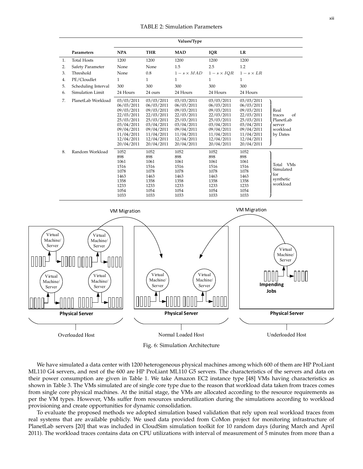<span id="page-13-0"></span>

|    | Values/Type         |                                                                                                                                          |                                                                                                                                          |                                                                                                                                          |                                                                                                                                          |                                                                                                                                          |                                                                     |  |  |  |  |  |  |
|----|---------------------|------------------------------------------------------------------------------------------------------------------------------------------|------------------------------------------------------------------------------------------------------------------------------------------|------------------------------------------------------------------------------------------------------------------------------------------|------------------------------------------------------------------------------------------------------------------------------------------|------------------------------------------------------------------------------------------------------------------------------------------|---------------------------------------------------------------------|--|--|--|--|--|--|
|    | Parameters          | <b>NPA</b>                                                                                                                               | <b>THR</b>                                                                                                                               | <b>MAD</b>                                                                                                                               | <b>IQR</b>                                                                                                                               | LR                                                                                                                                       |                                                                     |  |  |  |  |  |  |
| 1. | <b>Total Hosts</b>  | 1200                                                                                                                                     | 1200                                                                                                                                     | 1200                                                                                                                                     | 1200                                                                                                                                     | 1200                                                                                                                                     |                                                                     |  |  |  |  |  |  |
| 2. | Safety Parameter    | None                                                                                                                                     | None                                                                                                                                     | 1.5                                                                                                                                      | 2.5                                                                                                                                      | 1.2                                                                                                                                      |                                                                     |  |  |  |  |  |  |
| 3. | Threshold           | None                                                                                                                                     | 0.8                                                                                                                                      | $1 - s \times MAD$                                                                                                                       | $1-s \times IQR$                                                                                                                         | $1-s \times LR$                                                                                                                          |                                                                     |  |  |  |  |  |  |
| 4. | PE/Cloudlet         | $\mathbf{1}$                                                                                                                             | 1                                                                                                                                        | 1                                                                                                                                        | $\mathbf{1}$                                                                                                                             | 1                                                                                                                                        |                                                                     |  |  |  |  |  |  |
| 5. | Scheduling Interval | 300                                                                                                                                      | 300                                                                                                                                      | 300                                                                                                                                      | 300                                                                                                                                      | 300                                                                                                                                      |                                                                     |  |  |  |  |  |  |
| 6. | Simulation Limit    | 24 Hours                                                                                                                                 | 24 ours                                                                                                                                  | 24 Hours                                                                                                                                 | 24 Hours                                                                                                                                 | 24 Hours                                                                                                                                 |                                                                     |  |  |  |  |  |  |
| 7. | PlanetLab Workload  | 03/03/2011<br>06/03/2011<br>09/03/2011<br>22/03/2011<br>25/03/2011<br>03/04/2011<br>09/04/2011<br>11/04/2011<br>12/04/2011<br>20/04/2011 | 03/03/2011<br>06/03/2011<br>09/03/2011<br>22/03/2011<br>25/03/2011<br>03/04/2011<br>09/04/2011<br>11/04/2011<br>12/04/2011<br>20/04/2011 | 03/03/2011<br>06/03/2011<br>09/03/2011<br>22/03/2011<br>25/03/2011<br>03/04/2011<br>09/04/2011<br>11/04/2011<br>12/04/2011<br>20/04/2011 | 03/03/2011<br>06/03/2011<br>09/03/2011<br>22/03/2011<br>25/03/2011<br>03/04/2011<br>09/04/2011<br>11/04/2011<br>12/04/2011<br>20/04/2011 | 03/03/2011<br>06/03/2011<br>09/03/2011<br>22/03/2011<br>25/03/2011<br>03/04/2011<br>09/04/2011<br>11/04/2011<br>12/04/2011<br>20/04/2011 | Real<br>of<br>traces<br>PlanetLab<br>server<br>workload<br>by Dates |  |  |  |  |  |  |
| 8. | Random Workload     | 1052<br>898<br>1061<br>1516<br>1078<br>1463<br>1358<br>1233<br>1054<br>1033                                                              | 1052<br>898<br>1061<br>1516<br>1078<br>1463<br>1358<br>1233<br>1054<br>1033                                                              | 1052<br>898<br>1061<br>1516<br>1078<br>1463<br>1358<br>1233<br>1054<br>1033                                                              | 1052<br>898<br>1061<br>1516<br>1078<br>1463<br>1358<br>1233<br>1054<br>1033                                                              | 1052<br>898<br>1061<br>1516<br>1078<br>1463<br>1358<br>1233<br>1054<br>1033                                                              | Total VMs<br>Simulated<br>for<br>synthetic<br>workload              |  |  |  |  |  |  |

<span id="page-13-1"></span>

Fig. 6: Simulation Architecture

We have simulated a data center with 1200 heterogeneous physical machines among which 600 of them are HP ProLiant ML110 G4 servers, and rest of the 600 are HP ProLiant ML110 G5 servers. The characteristics of the servers and data on their power consumption are given in Table [1.](#page-4-2) We take Amazon EC2 instance type [\[48\]](#page-21-32) VMs having characteristics as shown in Table [3.](#page-14-0) The VMs simulated are of single core type due to the reason that workload data taken from traces comes from single core physical machines. At the initial stage, the VMs are allocated according to the resource requirements as per the VM types. However, VMs suffer from resources underutilization during the simulations according to workload provisioning and create opportunities for dynamic consolidation.

To evaluate the proposed methods we adopted simulation based validation that rely upon real workload traces from real systems that are available publicly. We used data provided from CoMon project for monitoring infrastructure of PlanetLab servers [\[20\]](#page-21-4) that was included in CloudSim simulation toolkit for 10 random days (during March and April 2011). The workload traces contains data on CPU utilizations with interval of measurement of 5 minutes from more than a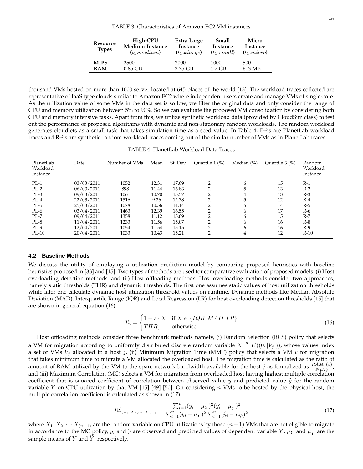## TABLE 3: Characteristics of Amazon EC2 VM instances

<span id="page-14-0"></span>

| Resource<br><b>Types</b> | High-CPU<br><b>Medium Instance</b><br>$(t_1 \dots t_n)$ | Extra Large<br>Instance<br>$(t_1. x_0)$ | Small<br>Instance<br>$(t_1 \dots \text{ small})$ | Micro<br>Instance<br>$(t_1.micro)$ |
|--------------------------|---------------------------------------------------------|-----------------------------------------|--------------------------------------------------|------------------------------------|
| <b>MIPS</b>              | 2500                                                    | 2000                                    | 1000                                             | 500                                |
| <b>RAM</b>               | $0.85$ GB                                               | 3.75 GB                                 | $1.7$ GB                                         | 613 MB                             |

thousand VMs hosted on more than 1000 server located at 645 places of the world [\[13\]](#page-20-12). The workload traces collected are representative of IaaS type clouds similar to Amazon EC2 where independent users create and manage VMs of single-core. As the utilization value of some VMs in the data set is so low, we filter the original data and only consider the range of CPU and memory utilization between 5% to 90%. So we can evaluate the proposed VM consolidation by considering both CPU and memory intensive tasks. Apart from this, we utilize synthetic workload data (provided by CloudSim class) to test out the performance of proposed algorithms with dynamic and non-stationary random workloads. The random workload generates cloudlets as a small task that takes simulation time as a seed value. In Table [4,](#page-14-1)  $P-i's$  are PlanetLab workload traces and R-i's are synthetic random workload traces coming out of the similar number of VMs as in PlanetLab traces.

TABLE 4: PlanetLab Workload Data Traces

<span id="page-14-1"></span>

| PlanetLab<br>Workload<br>Instance | Date       | Number of VMs | Mean  | St. Dev. | Ouartile $1$ $\frac{\%}{\%}$ | Median $(\% )$ | Quartile 3 (%) | Random<br>Workload<br>Instance |
|-----------------------------------|------------|---------------|-------|----------|------------------------------|----------------|----------------|--------------------------------|
| $PL-1$                            | 03/03/2011 | 1052          | 12.31 | 17.09    | $\overline{2}$               | 6              | 15             | $R-1$                          |
| $PL-2$                            | 06/03/2011 | 898           | 11.44 | 16.83    | 2                            |                | 13             | $R-2$                          |
| $PL-3$                            | 09/03/2011 | 1061          | 10.70 | 15.57    | $\overline{2}$               | 4              | 13             | $R-3$                          |
| $PL-4$                            | 22/03/2011 | 1516          | 9.26  | 12.78    | ∍                            | 5              | 12             | $R-4$                          |
| $PL-5$                            | 25/03/2011 | 1078          | 10.56 | 14.14    | $\overline{2}$               | h              | 14             | $R-5$                          |
| $PL-6$                            | 03/04/2011 | 1463          | 12.39 | 16.55    | ◠                            | h              | 17             | $R-6$                          |
| $PL-7$                            | 09/04/2011 | 1358          | 11.12 | 15.09    |                              | h              | 15             | $R-7$                          |
| PL-8                              | 11/04/2011 | 1233          | 11.56 | 15.07    | ◠                            | h              | 16             | $R-8$                          |
| $PL-9$                            | 12/04/2011 | 1054          | 11.54 | 15.15    | $\overline{2}$               | h              | 16             | $R-9$                          |
| $PL-10$                           | 20/04/2011 | 1033          | 10.43 | 15.21    | $\overline{2}$               | 4              | 12             | $R-10$                         |

#### **4.2 Baseline Methods**

We discuss the utility of employing a utilization prediction model by comparing proposed heuristics with baseline heuristics proposed in [\[33\]](#page-21-17) and [\[15\]](#page-20-14). Two types of methods are used for comparative evaluation of proposed models: (i) Host overloading detection methods, and (ii) Host offloading methods. Host overloading methods consider two approaches, namely static thresholds (THR) and dynamic thresholds. The first one assumes static values of host utilization thresholds while later one calculate dynamic host utilization threshold values on runtime. Dynamic methods like Median Absolute Deviation (MAD), Interquartile Range (IQR) and Local Regression (LR) for host overloading detection thresholds [\[15\]](#page-20-14) that are shown in general equation [\(16\)](#page-14-2).

$$
T_u = \begin{cases} 1 - s \cdot X & \text{if } X \in \{IQR, MAD, LR\} \\ THR, & \text{otherwise.} \end{cases}
$$
 (16)

<span id="page-14-2"></span>Host offloading methods consider three benchmark methods namely, (i) Random Selection (RCS) policy that selects a VM for migration according to uniformly distributed discrete random variable  $X\stackrel{d}{=}U((0,|V_j|))$ , whose values index a set of VMs  $V_i$  allocated to a host j. (ii) Minimum Migration Time (MMT) policy that selects a VM v for migration that takes minimum time to migrate a VM allocated the overloaded host. The migration time is calculated as the ratio of amount of RAM utilized by the VM to the spare network bandwidth available for the host j as formalized as  $\frac{RAM_u(v)}{NET_j}$ , and (iii) Maximum Correlation (MC) selects a VM for migration from overloaded host having highest multiple correlation coefficient that is squared coefficient of correlation between observed value y and predicted value  $\hat{y}$  for the random variable Y on CPU utilization by that VM [\[15\]](#page-20-14) [\[49\]](#page-21-33) [\[50\]](#page-21-34). On considering  $n$  VMs to be hosted by the physical host, the multiple correlation coefficient is calculated as shown in [\(17\)](#page-14-3).

$$
R_{Y,X_1,X_2,\cdots,X_{n-1}}^2 = \frac{\sum_{i=1}^n (y_i - \mu_Y)^2 (\hat{y}_i - \mu_{\hat{Y}})^2}{\sum_{i=1}^n (y_i - \mu_Y)^2 \sum_{i=1}^n (\hat{y}_i - \mu_{\hat{Y}})^2}
$$
(17)

<span id="page-14-3"></span>where  $X_1, X_2, \cdots X_{n-1}$  are the random variable on CPU utilizations by those  $(n-1)$  VMs that are not eligible to migrate in accordance to the MC policy,  $y_i$  and  $\hat{y}$  are observed and predicted values of dependent variable  $Y$ ,  $\mu_Y$  and  $\mu_{\hat{Y}}$  are the sample means of  $Y$  and  $\dot{Y}$ , respectively.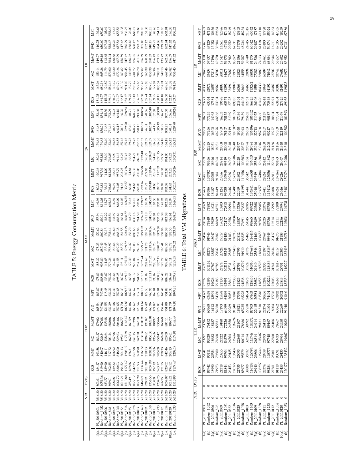| i                     |
|-----------------------|
|                       |
|                       |
|                       |
| ֠                     |
|                       |
| $-200$                |
|                       |
|                       |
| i                     |
|                       |
|                       |
|                       |
|                       |
|                       |
|                       |
|                       |
|                       |
|                       |
|                       |
|                       |
|                       |
|                       |
| <b>CARL CARL</b><br>ŗ |
|                       |
|                       |
|                       |
|                       |
|                       |
|                       |
|                       |
|                       |
|                       |
| Lister C              |

 $\cup$ 

<span id="page-15-0"></span>

|                                                                                                                                                                                                                                                                                                                                                                                                                                                                                                                                                 | VFT  |        |                                                                                                                                                                                                                                                                                                                                                                                                                                                                                                                                                                                                                                                                                                                                                                                                                                                                                                                                                                                                                                                                                                                                                                                                                                                                                                                                                                                                                                                                                                                                                                                                                                                                                                                                                                                                                                                                                                                                                                                                                                                                                                                                                                                                                                                                                                                                                                                                                                                                                                                                                                                                                                                                                                                                                                                                                                                                                                                                                                                                                                                                                                                                                                                                                                                                                                                                                                                                                                                                                                                                                              |  |  |  |  |                                                                                                                                                                                                                                                                                                                                                                                                                                                                                                                                                                                                                                                                                                                                                                                                                                                                                                                                                                                                                                                                                                                                                                                                                                                                                                                                                                                    |  |  |                                                                                                                                                                                                                                                                                                                                                                                                                                                                                        |  | 936.22 |  | MFT | 1493 |  |  |
|-------------------------------------------------------------------------------------------------------------------------------------------------------------------------------------------------------------------------------------------------------------------------------------------------------------------------------------------------------------------------------------------------------------------------------------------------------------------------------------------------------------------------------------------------|------|--------|--------------------------------------------------------------------------------------------------------------------------------------------------------------------------------------------------------------------------------------------------------------------------------------------------------------------------------------------------------------------------------------------------------------------------------------------------------------------------------------------------------------------------------------------------------------------------------------------------------------------------------------------------------------------------------------------------------------------------------------------------------------------------------------------------------------------------------------------------------------------------------------------------------------------------------------------------------------------------------------------------------------------------------------------------------------------------------------------------------------------------------------------------------------------------------------------------------------------------------------------------------------------------------------------------------------------------------------------------------------------------------------------------------------------------------------------------------------------------------------------------------------------------------------------------------------------------------------------------------------------------------------------------------------------------------------------------------------------------------------------------------------------------------------------------------------------------------------------------------------------------------------------------------------------------------------------------------------------------------------------------------------------------------------------------------------------------------------------------------------------------------------------------------------------------------------------------------------------------------------------------------------------------------------------------------------------------------------------------------------------------------------------------------------------------------------------------------------------------------------------------------------------------------------------------------------------------------------------------------------------------------------------------------------------------------------------------------------------------------------------------------------------------------------------------------------------------------------------------------------------------------------------------------------------------------------------------------------------------------------------------------------------------------------------------------------------------------------------------------------------------------------------------------------------------------------------------------------------------------------------------------------------------------------------------------------------------------------------------------------------------------------------------------------------------------------------------------------------------------------------------------------------------------------------------------------|--|--|--|--|------------------------------------------------------------------------------------------------------------------------------------------------------------------------------------------------------------------------------------------------------------------------------------------------------------------------------------------------------------------------------------------------------------------------------------------------------------------------------------------------------------------------------------------------------------------------------------------------------------------------------------------------------------------------------------------------------------------------------------------------------------------------------------------------------------------------------------------------------------------------------------------------------------------------------------------------------------------------------------------------------------------------------------------------------------------------------------------------------------------------------------------------------------------------------------------------------------------------------------------------------------------------------------------------------------------------------------------------------------------------------------|--|--|----------------------------------------------------------------------------------------------------------------------------------------------------------------------------------------------------------------------------------------------------------------------------------------------------------------------------------------------------------------------------------------------------------------------------------------------------------------------------------------|--|--------|--|-----|------|--|--|
|                                                                                                                                                                                                                                                                                                                                                                                                                                                                                                                                                 | SVD  |        |                                                                                                                                                                                                                                                                                                                                                                                                                                                                                                                                                                                                                                                                                                                                                                                                                                                                                                                                                                                                                                                                                                                                                                                                                                                                                                                                                                                                                                                                                                                                                                                                                                                                                                                                                                                                                                                                                                                                                                                                                                                                                                                                                                                                                                                                                                                                                                                                                                                                                                                                                                                                                                                                                                                                                                                                                                                                                                                                                                                                                                                                                                                                                                                                                                                                                                                                                                                                                                                                                                                                                              |  |  |  |  |                                                                                                                                                                                                                                                                                                                                                                                                                                                                                                                                                                                                                                                                                                                                                                                                                                                                                                                                                                                                                                                                                                                                                                                                                                                                                                                                                                                    |  |  |                                                                                                                                                                                                                                                                                                                                                                                                                                                                                        |  |        |  |     |      |  |  |
|                                                                                                                                                                                                                                                                                                                                                                                                                                                                                                                                                 | MeMT |        |                                                                                                                                                                                                                                                                                                                                                                                                                                                                                                                                                                                                                                                                                                                                                                                                                                                                                                                                                                                                                                                                                                                                                                                                                                                                                                                                                                                                                                                                                                                                                                                                                                                                                                                                                                                                                                                                                                                                                                                                                                                                                                                                                                                                                                                                                                                                                                                                                                                                                                                                                                                                                                                                                                                                                                                                                                                                                                                                                                                                                                                                                                                                                                                                                                                                                                                                                                                                                                                                                                                                                              |  |  |  |  | 47125<br>95.29<br>MeMT<br>M7.42<br>956.45<br>163.82<br>806.54<br>152.91<br>689.45<br>180.32<br>MMT<br>23271<br><b>RCS</b><br>MFT<br><b>GVD</b><br>MeM<br>IQK<br>MMT<br>RCS<br>TABLE 6: Total VM Migrations<br>166.55<br><b>GVD</b><br>MeM<br>MAD<br>SK<br>1285.05<br>26699<br>MMT<br>1269.93<br>1079.83<br>379.81<br>146.46<br>751.08<br>166.33<br>63468<br>24373<br>MFT<br>1079.83<br>152.44<br>151.70<br>171.70<br>63468<br>20751<br>SVD<br>148.47<br>191.87<br>1028.04<br>188.97<br>935.66<br>163.68<br>186.77<br>301.11<br>MeM<br>23096<br>76452<br>THR<br>198.62<br>1056.35<br>195.66<br>177.94<br>959.42<br>169.68<br>\$23.00<br>195.61<br>83528<br>23997<br>SK<br>1208.19<br>$210.53$<br>$1082.80$<br>1166.53<br>207.06<br>985.08<br>178.33<br>842.46<br>204.13<br>93111<br>MAT<br>27041<br>201.30<br>1059.90<br>1179.47<br>197.19<br>963.17<br>171.55<br>323.02<br>194.52<br>83942<br>24324<br>RCS<br>1234.25<br>1513.80<br>1014.21<br>1054.07<br>766.75<br><b>DVFS</b><br>3616.20<br>3616.20<br>3616.20<br>3616.20<br>3616.20<br>3616.20<br>3616.20<br>3616.20<br>3616.20<br>3616.20<br><b>NPA</b><br>Random 1052<br>Random_1233<br>PL 20110303<br>Random_1463<br>Random_1358<br>Random_1033<br>Random_1054<br>PL_20110412<br>PL_20110409<br>PL_20110403<br>PL 20110420<br>PL_20110411<br>é.<br>Та);<br>$\oplus_{\overline{\wedge}}$<br>ê<br>8(a).<br>6(a).<br>9(a).<br>ê |  |  |                                                                                                                                                                                                                                                                                                                                                                                                                                                                                        |  |        |  |     |      |  |  |
|                                                                                                                                                                                                                                                                                                                                                                                                                                                                                                                                                 |      | 150.14 |                                                                                                                                                                                                                                                                                                                                                                                                                                                                                                                                                                                                                                                                                                                                                                                                                                                                                                                                                                                                                                                                                                                                                                                                                                                                                                                                                                                                                                                                                                                                                                                                                                                                                                                                                                                                                                                                                                                                                                                                                                                                                                                                                                                                                                                                                                                                                                                                                                                                                                                                                                                                                                                                                                                                                                                                                                                                                                                                                                                                                                                                                                                                                                                                                                                                                                                                                                                                                                                                                                                                                              |  |  |  |  |                                                                                                                                                                                                                                                                                                                                                                                                                                                                                                                                                                                                                                                                                                                                                                                                                                                                                                                                                                                                                                                                                                                                                                                                                                                                                                                                                                                    |  |  | $\frac{37}{17401}$<br>22110<br>57937<br>$\frac{1}{2}$<br>28336<br>82072<br>93072<br>63064<br>18731<br>77235<br>******<br>20683<br>77266<br>22825<br>22825<br>::<br>23589<br>98466<br>26451<br>106782<br>2007<br>23763<br>98686<br>MFT<br>17869<br>71882<br>20814<br>71848<br>*******<br>22454<br>84946<br>-------<br>23876<br>92273<br>101162<br><b>2017</b><br>2017<br>2018<br>2019<br><b>POOL</b><br>$-1.442$<br>1010F<br>0.000<br>i<br>innon<br>pr possono<br>$\tilde{\phantom{a}}$ |  |        |  |     |      |  |  |
| $\exists$<br>163.06<br>MAT<br>RCS<br>MFT<br><b>GNS</b><br>MeMT<br>IQR<br>MMT<br>RCS<br>MFT<br>SVD<br>MeMT<br><b>MAD</b><br>MIT<br>RCS<br>118.48<br>183.87<br>747.96<br>MFT<br>747.55<br>124.59<br>539.29<br>165.54<br><b>GNS</b><br>MeMT<br>797.68<br>135.48<br>580.06<br>179.02<br><b>THR</b><br>820.34<br>83.37<br>ă<br>340.07<br>146.11<br>717.72<br>MMT<br>819.90<br>184.27<br>RCS<br>1051.36<br><b>DVFS</b><br>3.77<br>89.01<br>3616.20<br>3616.20<br>3616.20<br>3616.20<br>NPA<br>Random_1052<br>PL_20110306<br>Random_898<br>PL_20110303 |      |        |                                                                                                                                                                                                                                                                                                                                                                                                                                                                                                                                                                                                                                                                                                                                                                                                                                                                                                                                                                                                                                                                                                                                                                                                                                                                                                                                                                                                                                                                                                                                                                                                                                                                                                                                                                                                                                                                                                                                                                                                                                                                                                                                                                                                                                                                                                                                                                                                                                                                                                                                                                                                                                                                                                                                                                                                                                                                                                                                                                                                                                                                                                                                                                                                                                                                                                                                                                                                                                                                                                                                                              |  |  |  |  |                                                                                                                                                                                                                                                                                                                                                                                                                                                                                                                                                                                                                                                                                                                                                                                                                                                                                                                                                                                                                                                                                                                                                                                                                                                                                                                                                                                    |  |  |                                                                                                                                                                                                                                                                                                                                                                                                                                                                                        |  |        |  |     |      |  |  |
|                                                                                                                                                                                                                                                                                                                                                                                                                                                                                                                                                 |      |        |                                                                                                                                                                                                                                                                                                                                                                                                                                                                                                                                                                                                                                                                                                                                                                                                                                                                                                                                                                                                                                                                                                                                                                                                                                                                                                                                                                                                                                                                                                                                                                                                                                                                                                                                                                                                                                                                                                                                                                                                                                                                                                                                                                                                                                                                                                                                                                                                                                                                                                                                                                                                                                                                                                                                                                                                                                                                                                                                                                                                                                                                                                                                                                                                                                                                                                                                                                                                                                                                                                                                                              |  |  |  |  |                                                                                                                                                                                                                                                                                                                                                                                                                                                                                                                                                                                                                                                                                                                                                                                                                                                                                                                                                                                                                                                                                                                                                                                                                                                                                                                                                                                    |  |  |                                                                                                                                                                                                                                                                                                                                                                                                                                                                                        |  |        |  |     |      |  |  |
|                                                                                                                                                                                                                                                                                                                                                                                                                                                                                                                                                 |      |        |                                                                                                                                                                                                                                                                                                                                                                                                                                                                                                                                                                                                                                                                                                                                                                                                                                                                                                                                                                                                                                                                                                                                                                                                                                                                                                                                                                                                                                                                                                                                                                                                                                                                                                                                                                                                                                                                                                                                                                                                                                                                                                                                                                                                                                                                                                                                                                                                                                                                                                                                                                                                                                                                                                                                                                                                                                                                                                                                                                                                                                                                                                                                                                                                                                                                                                                                                                                                                                                                                                                                                              |  |  |  |  |                                                                                                                                                                                                                                                                                                                                                                                                                                                                                                                                                                                                                                                                                                                                                                                                                                                                                                                                                                                                                                                                                                                                                                                                                                                                                                                                                                                    |  |  |                                                                                                                                                                                                                                                                                                                                                                                                                                                                                        |  |        |  |     |      |  |  |
|                                                                                                                                                                                                                                                                                                                                                                                                                                                                                                                                                 |      |        |                                                                                                                                                                                                                                                                                                                                                                                                                                                                                                                                                                                                                                                                                                                                                                                                                                                                                                                                                                                                                                                                                                                                                                                                                                                                                                                                                                                                                                                                                                                                                                                                                                                                                                                                                                                                                                                                                                                                                                                                                                                                                                                                                                                                                                                                                                                                                                                                                                                                                                                                                                                                                                                                                                                                                                                                                                                                                                                                                                                                                                                                                                                                                                                                                                                                                                                                                                                                                                                                                                                                                              |  |  |  |  |                                                                                                                                                                                                                                                                                                                                                                                                                                                                                                                                                                                                                                                                                                                                                                                                                                                                                                                                                                                                                                                                                                                                                                                                                                                                                                                                                                                    |  |  |                                                                                                                                                                                                                                                                                                                                                                                                                                                                                        |  |        |  |     |      |  |  |
|                                                                                                                                                                                                                                                                                                                                                                                                                                                                                                                                                 |      |        |                                                                                                                                                                                                                                                                                                                                                                                                                                                                                                                                                                                                                                                                                                                                                                                                                                                                                                                                                                                                                                                                                                                                                                                                                                                                                                                                                                                                                                                                                                                                                                                                                                                                                                                                                                                                                                                                                                                                                                                                                                                                                                                                                                                                                                                                                                                                                                                                                                                                                                                                                                                                                                                                                                                                                                                                                                                                                                                                                                                                                                                                                                                                                                                                                                                                                                                                                                                                                                                                                                                                                              |  |  |  |  |                                                                                                                                                                                                                                                                                                                                                                                                                                                                                                                                                                                                                                                                                                                                                                                                                                                                                                                                                                                                                                                                                                                                                                                                                                                                                                                                                                                    |  |  |                                                                                                                                                                                                                                                                                                                                                                                                                                                                                        |  |        |  |     |      |  |  |
|                                                                                                                                                                                                                                                                                                                                                                                                                                                                                                                                                 |      |        |                                                                                                                                                                                                                                                                                                                                                                                                                                                                                                                                                                                                                                                                                                                                                                                                                                                                                                                                                                                                                                                                                                                                                                                                                                                                                                                                                                                                                                                                                                                                                                                                                                                                                                                                                                                                                                                                                                                                                                                                                                                                                                                                                                                                                                                                                                                                                                                                                                                                                                                                                                                                                                                                                                                                                                                                                                                                                                                                                                                                                                                                                                                                                                                                                                                                                                                                                                                                                                                                                                                                                              |  |  |  |  |                                                                                                                                                                                                                                                                                                                                                                                                                                                                                                                                                                                                                                                                                                                                                                                                                                                                                                                                                                                                                                                                                                                                                                                                                                                                                                                                                                                    |  |  |                                                                                                                                                                                                                                                                                                                                                                                                                                                                                        |  |        |  |     |      |  |  |
|                                                                                                                                                                                                                                                                                                                                                                                                                                                                                                                                                 |      |        |                                                                                                                                                                                                                                                                                                                                                                                                                                                                                                                                                                                                                                                                                                                                                                                                                                                                                                                                                                                                                                                                                                                                                                                                                                                                                                                                                                                                                                                                                                                                                                                                                                                                                                                                                                                                                                                                                                                                                                                                                                                                                                                                                                                                                                                                                                                                                                                                                                                                                                                                                                                                                                                                                                                                                                                                                                                                                                                                                                                                                                                                                                                                                                                                                                                                                                                                                                                                                                                                                                                                                              |  |  |  |  |                                                                                                                                                                                                                                                                                                                                                                                                                                                                                                                                                                                                                                                                                                                                                                                                                                                                                                                                                                                                                                                                                                                                                                                                                                                                                                                                                                                    |  |  |                                                                                                                                                                                                                                                                                                                                                                                                                                                                                        |  |        |  |     |      |  |  |
|                                                                                                                                                                                                                                                                                                                                                                                                                                                                                                                                                 |      |        |                                                                                                                                                                                                                                                                                                                                                                                                                                                                                                                                                                                                                                                                                                                                                                                                                                                                                                                                                                                                                                                                                                                                                                                                                                                                                                                                                                                                                                                                                                                                                                                                                                                                                                                                                                                                                                                                                                                                                                                                                                                                                                                                                                                                                                                                                                                                                                                                                                                                                                                                                                                                                                                                                                                                                                                                                                                                                                                                                                                                                                                                                                                                                                                                                                                                                                                                                                                                                                                                                                                                                              |  |  |  |  |                                                                                                                                                                                                                                                                                                                                                                                                                                                                                                                                                                                                                                                                                                                                                                                                                                                                                                                                                                                                                                                                                                                                                                                                                                                                                                                                                                                    |  |  |                                                                                                                                                                                                                                                                                                                                                                                                                                                                                        |  |        |  |     |      |  |  |
|                                                                                                                                                                                                                                                                                                                                                                                                                                                                                                                                                 |      |        |                                                                                                                                                                                                                                                                                                                                                                                                                                                                                                                                                                                                                                                                                                                                                                                                                                                                                                                                                                                                                                                                                                                                                                                                                                                                                                                                                                                                                                                                                                                                                                                                                                                                                                                                                                                                                                                                                                                                                                                                                                                                                                                                                                                                                                                                                                                                                                                                                                                                                                                                                                                                                                                                                                                                                                                                                                                                                                                                                                                                                                                                                                                                                                                                                                                                                                                                                                                                                                                                                                                                                              |  |  |  |  |                                                                                                                                                                                                                                                                                                                                                                                                                                                                                                                                                                                                                                                                                                                                                                                                                                                                                                                                                                                                                                                                                                                                                                                                                                                                                                                                                                                    |  |  |                                                                                                                                                                                                                                                                                                                                                                                                                                                                                        |  |        |  |     |      |  |  |
|                                                                                                                                                                                                                                                                                                                                                                                                                                                                                                                                                 |      |        |                                                                                                                                                                                                                                                                                                                                                                                                                                                                                                                                                                                                                                                                                                                                                                                                                                                                                                                                                                                                                                                                                                                                                                                                                                                                                                                                                                                                                                                                                                                                                                                                                                                                                                                                                                                                                                                                                                                                                                                                                                                                                                                                                                                                                                                                                                                                                                                                                                                                                                                                                                                                                                                                                                                                                                                                                                                                                                                                                                                                                                                                                                                                                                                                                                                                                                                                                                                                                                                                                                                                                              |  |  |  |  |                                                                                                                                                                                                                                                                                                                                                                                                                                                                                                                                                                                                                                                                                                                                                                                                                                                                                                                                                                                                                                                                                                                                                                                                                                                                                                                                                                                    |  |  |                                                                                                                                                                                                                                                                                                                                                                                                                                                                                        |  |        |  |     |      |  |  |
|                                                                                                                                                                                                                                                                                                                                                                                                                                                                                                                                                 |      |        |                                                                                                                                                                                                                                                                                                                                                                                                                                                                                                                                                                                                                                                                                                                                                                                                                                                                                                                                                                                                                                                                                                                                                                                                                                                                                                                                                                                                                                                                                                                                                                                                                                                                                                                                                                                                                                                                                                                                                                                                                                                                                                                                                                                                                                                                                                                                                                                                                                                                                                                                                                                                                                                                                                                                                                                                                                                                                                                                                                                                                                                                                                                                                                                                                                                                                                                                                                                                                                                                                                                                                              |  |  |  |  |                                                                                                                                                                                                                                                                                                                                                                                                                                                                                                                                                                                                                                                                                                                                                                                                                                                                                                                                                                                                                                                                                                                                                                                                                                                                                                                                                                                    |  |  |                                                                                                                                                                                                                                                                                                                                                                                                                                                                                        |  |        |  |     |      |  |  |
|                                                                                                                                                                                                                                                                                                                                                                                                                                                                                                                                                 |      |        |                                                                                                                                                                                                                                                                                                                                                                                                                                                                                                                                                                                                                                                                                                                                                                                                                                                                                                                                                                                                                                                                                                                                                                                                                                                                                                                                                                                                                                                                                                                                                                                                                                                                                                                                                                                                                                                                                                                                                                                                                                                                                                                                                                                                                                                                                                                                                                                                                                                                                                                                                                                                                                                                                                                                                                                                                                                                                                                                                                                                                                                                                                                                                                                                                                                                                                                                                                                                                                                                                                                                                              |  |  |  |  |                                                                                                                                                                                                                                                                                                                                                                                                                                                                                                                                                                                                                                                                                                                                                                                                                                                                                                                                                                                                                                                                                                                                                                                                                                                                                                                                                                                    |  |  |                                                                                                                                                                                                                                                                                                                                                                                                                                                                                        |  |        |  |     |      |  |  |
|                                                                                                                                                                                                                                                                                                                                                                                                                                                                                                                                                 |      |        |                                                                                                                                                                                                                                                                                                                                                                                                                                                                                                                                                                                                                                                                                                                                                                                                                                                                                                                                                                                                                                                                                                                                                                                                                                                                                                                                                                                                                                                                                                                                                                                                                                                                                                                                                                                                                                                                                                                                                                                                                                                                                                                                                                                                                                                                                                                                                                                                                                                                                                                                                                                                                                                                                                                                                                                                                                                                                                                                                                                                                                                                                                                                                                                                                                                                                                                                                                                                                                                                                                                                                              |  |  |  |  |                                                                                                                                                                                                                                                                                                                                                                                                                                                                                                                                                                                                                                                                                                                                                                                                                                                                                                                                                                                                                                                                                                                                                                                                                                                                                                                                                                                    |  |  |                                                                                                                                                                                                                                                                                                                                                                                                                                                                                        |  |        |  |     |      |  |  |
|                                                                                                                                                                                                                                                                                                                                                                                                                                                                                                                                                 |      |        |                                                                                                                                                                                                                                                                                                                                                                                                                                                                                                                                                                                                                                                                                                                                                                                                                                                                                                                                                                                                                                                                                                                                                                                                                                                                                                                                                                                                                                                                                                                                                                                                                                                                                                                                                                                                                                                                                                                                                                                                                                                                                                                                                                                                                                                                                                                                                                                                                                                                                                                                                                                                                                                                                                                                                                                                                                                                                                                                                                                                                                                                                                                                                                                                                                                                                                                                                                                                                                                                                                                                                              |  |  |  |  |                                                                                                                                                                                                                                                                                                                                                                                                                                                                                                                                                                                                                                                                                                                                                                                                                                                                                                                                                                                                                                                                                                                                                                                                                                                                                                                                                                                    |  |  |                                                                                                                                                                                                                                                                                                                                                                                                                                                                                        |  |        |  |     |      |  |  |
|                                                                                                                                                                                                                                                                                                                                                                                                                                                                                                                                                 |      |        |                                                                                                                                                                                                                                                                                                                                                                                                                                                                                                                                                                                                                                                                                                                                                                                                                                                                                                                                                                                                                                                                                                                                                                                                                                                                                                                                                                                                                                                                                                                                                                                                                                                                                                                                                                                                                                                                                                                                                                                                                                                                                                                                                                                                                                                                                                                                                                                                                                                                                                                                                                                                                                                                                                                                                                                                                                                                                                                                                                                                                                                                                                                                                                                                                                                                                                                                                                                                                                                                                                                                                              |  |  |  |  |                                                                                                                                                                                                                                                                                                                                                                                                                                                                                                                                                                                                                                                                                                                                                                                                                                                                                                                                                                                                                                                                                                                                                                                                                                                                                                                                                                                    |  |  |                                                                                                                                                                                                                                                                                                                                                                                                                                                                                        |  |        |  |     |      |  |  |
|                                                                                                                                                                                                                                                                                                                                                                                                                                                                                                                                                 |      |        |                                                                                                                                                                                                                                                                                                                                                                                                                                                                                                                                                                                                                                                                                                                                                                                                                                                                                                                                                                                                                                                                                                                                                                                                                                                                                                                                                                                                                                                                                                                                                                                                                                                                                                                                                                                                                                                                                                                                                                                                                                                                                                                                                                                                                                                                                                                                                                                                                                                                                                                                                                                                                                                                                                                                                                                                                                                                                                                                                                                                                                                                                                                                                                                                                                                                                                                                                                                                                                                                                                                                                              |  |  |  |  |                                                                                                                                                                                                                                                                                                                                                                                                                                                                                                                                                                                                                                                                                                                                                                                                                                                                                                                                                                                                                                                                                                                                                                                                                                                                                                                                                                                    |  |  |                                                                                                                                                                                                                                                                                                                                                                                                                                                                                        |  |        |  |     |      |  |  |
|                                                                                                                                                                                                                                                                                                                                                                                                                                                                                                                                                 |      |        |                                                                                                                                                                                                                                                                                                                                                                                                                                                                                                                                                                                                                                                                                                                                                                                                                                                                                                                                                                                                                                                                                                                                                                                                                                                                                                                                                                                                                                                                                                                                                                                                                                                                                                                                                                                                                                                                                                                                                                                                                                                                                                                                                                                                                                                                                                                                                                                                                                                                                                                                                                                                                                                                                                                                                                                                                                                                                                                                                                                                                                                                                                                                                                                                                                                                                                                                                                                                                                                                                                                                                              |  |  |  |  |                                                                                                                                                                                                                                                                                                                                                                                                                                                                                                                                                                                                                                                                                                                                                                                                                                                                                                                                                                                                                                                                                                                                                                                                                                                                                                                                                                                    |  |  |                                                                                                                                                                                                                                                                                                                                                                                                                                                                                        |  |        |  |     |      |  |  |
|                                                                                                                                                                                                                                                                                                                                                                                                                                                                                                                                                 |      |        | 694.74<br>180.32<br>180.82 45 46 50.33<br>17 50.32 50.53 50.54<br>17 50.55 50.55 50.54<br>3816<br>12136<br>1213141<br>1414<br>$19.33$<br>1970 - 1970 - 1970 - 1970 - 1970 - 1970 - 1970 - 1970 - 1970 - 1970 - 1970 - 1970 - 1970 - 1970 - 1970 - 1970<br>1970 - 1970 - 1970 - 1970 - 1970 - 1970 - 1970 - 1970 - 1970 - 1970 - 1970 - 1970 - 1970 - 1970 - 1970<br>6<br>ក្រុម អ៊ីម៉ូ មិន មិន មិន មិន មិន មិន អ៊ីម៉ូ មិន<br>ប្រុម អ៊ីម៉ូ មិន មិន មិន មិន មិន អ៊ីម៉ូ មិន<br>$\begin{array}{l} 26.89 \rightarrow 0.533 \\ 27.89 \rightarrow 0.533 \\ 28.81 \rightarrow 0.533 \\ 29.82 \rightarrow 0.533 \\ 20.83 \rightarrow 0.533 \\ 21.83 \rightarrow 0.533 \\ 22.83 \rightarrow 0.533 \\ 23.83 \rightarrow 0.533 \\ 24.83 \rightarrow 0.533 \\ 25.83 \rightarrow 0.533 \\ 26.83 \rightarrow 0.533 \\ 27.83 \rightarrow 0.533 \\ 28.83 \rightarrow 0.533 \\ 29.83 \rightarrow 0.533 \\ 20$<br> <br> អត្ថន្ទ ដូច អត្ថន្ទ ដូច អត្ថន្ទ ដូច អត្ថន្ទ ដូច អត្ថន្ទ ដូច អត្ថន្ទ ដូច អត្ថន្ទ ដូច អត្ថន្ទ ដូច អត្ថន្ទ ដូច អ<br> អត្ថន្ទ ដូច អត្ថន្ទ ដូច អត្ថន្ទ ដូច អត្ថន្ទ ដូច អត្ថន្ទ ដូច អត្ថន្ទ ដូច អត្ថន្ទ ដូច អត្ថន្ទ ដូច អ្នក អត្ថន<br>$\begin{array}{l} \hline \text{38\textwidth} = \text{38\textwidth} \\ \hline \text{39\textwidth} = \text{39\textwidth} \\ \hline \text{39\textwidth} = \text{39\textwidth} \\ \hline \text{30\textwidth} = \text{39\textwidth} \\ \hline \text{31\textwidth} = \text{39\textwidth} \\ \hline \text{32\textwidth} = \text{39\textwidth} \\ \hline \text{33\textwidth} = \text{39\textwidth} \\ \hline \text{34\textwidth} = \text{39\textwidth} \\ \hline \text{35\textwidth} = \text{39\textwidth} \\ \hline \text{$<br>$\begin{array}{l} \hline \Xi_1\oplus \Xi_2\oplus \Xi_3\oplus \Xi_4\oplus \Xi_5\oplus \Xi_6\oplus \Xi_7\oplus \Xi_8\oplus \Xi_7\oplus \Xi_8\oplus \Xi_7\oplus \Xi_8\oplus \Xi_8\oplus \Xi_8\oplus \Xi_8\oplus \Xi_8\oplus \Xi_8\oplus \Xi_8\oplus \Xi_8\oplus \Xi_8\oplus \Xi_8\oplus \Xi_8\oplus \Xi_8\oplus \Xi_8\oplus \Xi_8\oplus \Xi_8\oplus \Xi_8\oplus \Xi_8\oplus \Xi_8\oplus \Xi_8\oplus$<br>$\begin{smallmatrix} 12896 & 1286 & 1286 & 1286 & 1286 & 1286 & 1286 & 1286 & 1286 & 1286 & 1286 & 1286 & 1286 & 1286 & 1286 & 1286 & 1286 & 1286 & 1286 & 1286 & 1286 & 1286 & 1286 & 1286 & 1286 & 1286 & 1286 & 1286 & 1286 & 1286 & 1286 & 1286 & 1286 & 1286 & 1286 & 12$<br>1079.83<br>142.69<br>768.67<br>77.11<br>1041.62<br>106.83<br>169.81<br>133.40<br>757.65<br>166.33<br>$\begin{array}{l} 49.48 \\ 140.78 \\ 171.70 \\ 183.83 \\ 193.83 \\ 193.84 \\ 193.85 \\ 193.84 \\ 193.85 \\ 193.84 \\ 193.85 \\ 193.87 \\ 193.89 \\ 193.89 \\ 193.89 \\ 193.81 \\ 193.89 \\ 193.81 \\ 193.89 \\ 193.81 \\ 193.81 \\ 193.82 \\ 193.83 \\ 193.81 \\ 193.82 \\ 193.83 \\ 193.8$<br>1148.47<br>$\begin{array}{c} 161.59 \\ 819.98 \\ 242.10 \\ 1108.96 \end{array}$<br>186.77<br>152.86<br>804.86<br>$\begin{array}{c} 167.83 \\ 841.15 \\ 249.50 \\ 1138.37 \end{array}$<br>1177.94<br>138.64<br>TO 1.24<br>LS7.96<br>S9.61<br>195.61<br>1208.19<br>$\begin{array}{c} 166.92 \\ 848.0 \\ 204.13 \end{array}$<br>$\begin{array}{c} 176.31 \\ 861.98 \\ 260.90 \end{array}$<br>16986<br>842.35<br>251.93.44<br>1139.44<br>1179.47<br>139.51<br>702.51<br>159.61<br>194.51<br>785.49<br>1077.17<br>1071.90<br>1460.71<br>1356.55<br>1356.55<br>1356.55<br>1513.80<br>1061.72<br>1014.21<br>708.68<br>3616.20<br>3616.20<br>3616.20<br>3616.20<br>3616.20<br>3616.20<br>Random_1516<br>Random_1078<br>Random_106<br>PL_20110325<br>PL_20110309<br>PL_20110322<br>3(a).<br>4(a)<br>5(a).<br>ê |  |  |  |  |                                                                                                                                                                                                                                                                                                                                                                                                                                                                                                                                                                                                                                                                                                                                                                                                                                                                                                                                                                                                                                                                                                                                                                                                                                                                                                                                                                                    |  |  |                                                                                                                                                                                                                                                                                                                                                                                                                                                                                        |  |        |  |     |      |  |  |
|                                                                                                                                                                                                                                                                                                                                                                                                                                                                                                                                                 |      |        |                                                                                                                                                                                                                                                                                                                                                                                                                                                                                                                                                                                                                                                                                                                                                                                                                                                                                                                                                                                                                                                                                                                                                                                                                                                                                                                                                                                                                                                                                                                                                                                                                                                                                                                                                                                                                                                                                                                                                                                                                                                                                                                                                                                                                                                                                                                                                                                                                                                                                                                                                                                                                                                                                                                                                                                                                                                                                                                                                                                                                                                                                                                                                                                                                                                                                                                                                                                                                                                                                                                                                              |  |  |  |  |                                                                                                                                                                                                                                                                                                                                                                                                                                                                                                                                                                                                                                                                                                                                                                                                                                                                                                                                                                                                                                                                                                                                                                                                                                                                                                                                                                                    |  |  |                                                                                                                                                                                                                                                                                                                                                                                                                                                                                        |  |        |  |     |      |  |  |
|                                                                                                                                                                                                                                                                                                                                                                                                                                                                                                                                                 |      |        |                                                                                                                                                                                                                                                                                                                                                                                                                                                                                                                                                                                                                                                                                                                                                                                                                                                                                                                                                                                                                                                                                                                                                                                                                                                                                                                                                                                                                                                                                                                                                                                                                                                                                                                                                                                                                                                                                                                                                                                                                                                                                                                                                                                                                                                                                                                                                                                                                                                                                                                                                                                                                                                                                                                                                                                                                                                                                                                                                                                                                                                                                                                                                                                                                                                                                                                                                                                                                                                                                                                                                              |  |  |  |  |                                                                                                                                                                                                                                                                                                                                                                                                                                                                                                                                                                                                                                                                                                                                                                                                                                                                                                                                                                                                                                                                                                                                                                                                                                                                                                                                                                                    |  |  |                                                                                                                                                                                                                                                                                                                                                                                                                                                                                        |  |        |  |     |      |  |  |
|                                                                                                                                                                                                                                                                                                                                                                                                                                                                                                                                                 |      |        |                                                                                                                                                                                                                                                                                                                                                                                                                                                                                                                                                                                                                                                                                                                                                                                                                                                                                                                                                                                                                                                                                                                                                                                                                                                                                                                                                                                                                                                                                                                                                                                                                                                                                                                                                                                                                                                                                                                                                                                                                                                                                                                                                                                                                                                                                                                                                                                                                                                                                                                                                                                                                                                                                                                                                                                                                                                                                                                                                                                                                                                                                                                                                                                                                                                                                                                                                                                                                                                                                                                                                              |  |  |  |  |                                                                                                                                                                                                                                                                                                                                                                                                                                                                                                                                                                                                                                                                                                                                                                                                                                                                                                                                                                                                                                                                                                                                                                                                                                                                                                                                                                                    |  |  |                                                                                                                                                                                                                                                                                                                                                                                                                                                                                        |  |        |  |     |      |  |  |
|                                                                                                                                                                                                                                                                                                                                                                                                                                                                                                                                                 |      |        |                                                                                                                                                                                                                                                                                                                                                                                                                                                                                                                                                                                                                                                                                                                                                                                                                                                                                                                                                                                                                                                                                                                                                                                                                                                                                                                                                                                                                                                                                                                                                                                                                                                                                                                                                                                                                                                                                                                                                                                                                                                                                                                                                                                                                                                                                                                                                                                                                                                                                                                                                                                                                                                                                                                                                                                                                                                                                                                                                                                                                                                                                                                                                                                                                                                                                                                                                                                                                                                                                                                                                              |  |  |  |  |                                                                                                                                                                                                                                                                                                                                                                                                                                                                                                                                                                                                                                                                                                                                                                                                                                                                                                                                                                                                                                                                                                                                                                                                                                                                                                                                                                                    |  |  |                                                                                                                                                                                                                                                                                                                                                                                                                                                                                        |  |        |  |     |      |  |  |
|                                                                                                                                                                                                                                                                                                                                                                                                                                                                                                                                                 |      |        |                                                                                                                                                                                                                                                                                                                                                                                                                                                                                                                                                                                                                                                                                                                                                                                                                                                                                                                                                                                                                                                                                                                                                                                                                                                                                                                                                                                                                                                                                                                                                                                                                                                                                                                                                                                                                                                                                                                                                                                                                                                                                                                                                                                                                                                                                                                                                                                                                                                                                                                                                                                                                                                                                                                                                                                                                                                                                                                                                                                                                                                                                                                                                                                                                                                                                                                                                                                                                                                                                                                                                              |  |  |  |  |                                                                                                                                                                                                                                                                                                                                                                                                                                                                                                                                                                                                                                                                                                                                                                                                                                                                                                                                                                                                                                                                                                                                                                                                                                                                                                                                                                                    |  |  |                                                                                                                                                                                                                                                                                                                                                                                                                                                                                        |  |        |  |     |      |  |  |
|                                                                                                                                                                                                                                                                                                                                                                                                                                                                                                                                                 |      |        |                                                                                                                                                                                                                                                                                                                                                                                                                                                                                                                                                                                                                                                                                                                                                                                                                                                                                                                                                                                                                                                                                                                                                                                                                                                                                                                                                                                                                                                                                                                                                                                                                                                                                                                                                                                                                                                                                                                                                                                                                                                                                                                                                                                                                                                                                                                                                                                                                                                                                                                                                                                                                                                                                                                                                                                                                                                                                                                                                                                                                                                                                                                                                                                                                                                                                                                                                                                                                                                                                                                                                              |  |  |  |  |                                                                                                                                                                                                                                                                                                                                                                                                                                                                                                                                                                                                                                                                                                                                                                                                                                                                                                                                                                                                                                                                                                                                                                                                                                                                                                                                                                                    |  |  |                                                                                                                                                                                                                                                                                                                                                                                                                                                                                        |  |        |  |     |      |  |  |
|                                                                                                                                                                                                                                                                                                                                                                                                                                                                                                                                                 |      |        |                                                                                                                                                                                                                                                                                                                                                                                                                                                                                                                                                                                                                                                                                                                                                                                                                                                                                                                                                                                                                                                                                                                                                                                                                                                                                                                                                                                                                                                                                                                                                                                                                                                                                                                                                                                                                                                                                                                                                                                                                                                                                                                                                                                                                                                                                                                                                                                                                                                                                                                                                                                                                                                                                                                                                                                                                                                                                                                                                                                                                                                                                                                                                                                                                                                                                                                                                                                                                                                                                                                                                              |  |  |  |  |                                                                                                                                                                                                                                                                                                                                                                                                                                                                                                                                                                                                                                                                                                                                                                                                                                                                                                                                                                                                                                                                                                                                                                                                                                                                                                                                                                                    |  |  |                                                                                                                                                                                                                                                                                                                                                                                                                                                                                        |  |        |  |     |      |  |  |
|                                                                                                                                                                                                                                                                                                                                                                                                                                                                                                                                                 |      |        |                                                                                                                                                                                                                                                                                                                                                                                                                                                                                                                                                                                                                                                                                                                                                                                                                                                                                                                                                                                                                                                                                                                                                                                                                                                                                                                                                                                                                                                                                                                                                                                                                                                                                                                                                                                                                                                                                                                                                                                                                                                                                                                                                                                                                                                                                                                                                                                                                                                                                                                                                                                                                                                                                                                                                                                                                                                                                                                                                                                                                                                                                                                                                                                                                                                                                                                                                                                                                                                                                                                                                              |  |  |  |  |                                                                                                                                                                                                                                                                                                                                                                                                                                                                                                                                                                                                                                                                                                                                                                                                                                                                                                                                                                                                                                                                                                                                                                                                                                                                                                                                                                                    |  |  |                                                                                                                                                                                                                                                                                                                                                                                                                                                                                        |  |        |  |     |      |  |  |
|                                                                                                                                                                                                                                                                                                                                                                                                                                                                                                                                                 |      |        |                                                                                                                                                                                                                                                                                                                                                                                                                                                                                                                                                                                                                                                                                                                                                                                                                                                                                                                                                                                                                                                                                                                                                                                                                                                                                                                                                                                                                                                                                                                                                                                                                                                                                                                                                                                                                                                                                                                                                                                                                                                                                                                                                                                                                                                                                                                                                                                                                                                                                                                                                                                                                                                                                                                                                                                                                                                                                                                                                                                                                                                                                                                                                                                                                                                                                                                                                                                                                                                                                                                                                              |  |  |  |  |                                                                                                                                                                                                                                                                                                                                                                                                                                                                                                                                                                                                                                                                                                                                                                                                                                                                                                                                                                                                                                                                                                                                                                                                                                                                                                                                                                                    |  |  |                                                                                                                                                                                                                                                                                                                                                                                                                                                                                        |  |        |  |     |      |  |  |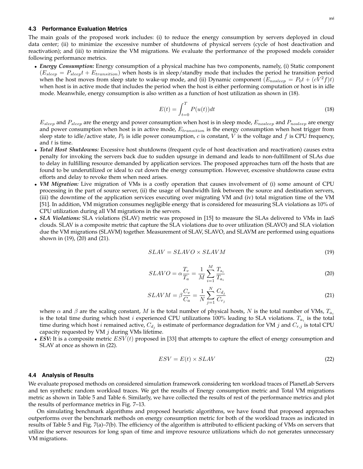#### **4.3 Performance Evaluation Metrics**

The main goals of the proposed work includes: (i) to reduce the energy consumption by servers deployed in cloud data center; (ii) to minimize the excessive number of shutdowns of physical servers (cycle of host deactivation and reactivation); and (iii) to minimize the VM migrations. We evaluate the performance of the proposed models consider following performance metrics.

• *Energy Consumption:* Energy consumption of a physical machine has two components, namely, (i) Static component  $(E_{sleep} = P_{sleep}t + E_{transition})$  when hosts is in sleep/standby mode that includes the period he transition period when the host moves from sleep state to wake-up mode, and (ii) Dynamic component  $(E_{noisep} = P_0t + (cV^2f)t)$ when host is in active mode that includes the period when the host is either performing computation or host is in idle mode. Meanwhile, energy consumption is also written as a function of host utilization as shown in [\(18\)](#page-16-0).

$$
E(t) = \int_{t=0}^{T} P(u(t))dt
$$
\n(18)

<span id="page-16-0"></span> $E_{sleep}$  and  $P_{sleep}$  are the energy and power consumption when host is in sleep mode,  $E_{nosleep}$  and  $P_{nosleep}$  are energy and power consumption when host is in active mode,  $E_{transition}$  is the energy consumption when host trigger from sleep state to idle/active state,  $P_0$  is idle power consumption, c is constant, V is the voltage and f is CPU frequency, and  $t$  is time.

- *Total Host Shutdowns:* Excessive host shutdowns (frequent cycle of host deactivation and reactivation) causes extra penalty for invoking the servers back due to sudden upsurge in demand and leads to non-fulfillment of SLAs due to delay in fulfilling resource demanded by application services. The proposed approaches turn off the hosts that are found to be underutilized or ideal to cut down the energy consumption. However, excessive shutdowns cause extra efforts and delay to revoke them when need arises.
- *VM Migration:* Live migration of VMs is a costly operation that causes involvement of (i) some amount of CPU processing in the part of source server, (ii) the usage of bandwidth link between the source and destination servers, (iii) the downtime of the application services executing over migrating VM and (iv) total migration time of the VM [\[51\]](#page-21-35). In addition, VM migration consumes negligible energy that is considered for measuring SLA violations as 10% of CPU utilization during all VM migrations in the servers.
- <span id="page-16-2"></span><span id="page-16-1"></span>• *SLA Violations:* SLA violations (SLAV) metric was proposed in [\[15\]](#page-20-14) to measure the SLAs delivered to VMs in IaaS clouds. SLAV is a composite metric that capture the SLA violations due to over utilization (SLAVO) and SLA violation due the VM migrations (SLAVM) together. Measurement of SLAV, SLAVO, and SLAVM are performed using equations shown in [\(19\)](#page-16-1), [\(20\)](#page-16-2) and [\(21\)](#page-16-3).

$$
SLAV = SLAVO \times SLAVM \tag{19}
$$

$$
SLAVO = \alpha \frac{T_v}{T_a} = \frac{1}{M} \sum_{i=1}^{M} \frac{T_{s_i}}{T_{a_i}}
$$
\n
$$
(20)
$$

$$
SLAVM = \beta \frac{C_v}{C_a} = \frac{1}{N} \sum_{j=1}^{N} \frac{C_{d_j}}{C_{r_j}}
$$
\n
$$
(21)
$$

<span id="page-16-3"></span>where  $\alpha$  and  $\beta$  are the scaling constant, M is the total number of physical hosts, N is the total number of VMs,  $T_{a_i}$ is the total time during which host i experienced CPU utilizations 100% leading to SLA violations.  $T_{a_i}$  is the total time during which host i remained active,  $C_{d_j}$  is estimate of performance degradation for VM j and  $C_{r,j}$  is total CPU capacity requested by VM  $j$  during VMs lifetime.

<span id="page-16-4"></span>• *ESV:* It is a composite metric  $ESV(t)$  proposed in [\[33\]](#page-21-17) that attempts to capture the effect of energy consumption and SLAV at once as shown in [\(22\)](#page-16-4).

$$
ESV = E(t) \times SLAV \tag{22}
$$

#### **4.4 Analysis of Results**

We evaluate proposed methods on considered simulation framework considering ten workload traces of PlanetLab Servers and ten synthetic random workload traces. We get the results of Energy consumption metric and Total VM migrations metric as shown in Table [5](#page-15-0) and Table [6.](#page-15-0) Similarly, we have collected the results of rest of the performance metrics and plot the results of performance metrics in Fig. [7–](#page-17-0)[13.](#page-20-16)

On simulating benchmark algorithms and proposed heuristic algorithms, we have found that proposed approaches outperforms over the benchmark methods on energy consumption metric for both of the workload traces as indicated in results of Table [5](#page-15-0) and Fig. [7\(a\)–7\(b\).](#page-17-0) The efficiency of the algorithm is attributed to efficient packing of VMs on servers that utilize the server resources for long span of time and improve resource utilizations which do not generates unnecessary VM migrations.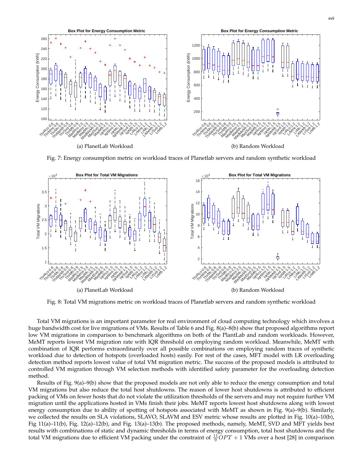<span id="page-17-0"></span>

Fig. 7: Energy consumption metric on workload traces of Planetlab servers and random synthetic workload

<span id="page-17-1"></span>

Fig. 8: Total VM migrations metric on workload traces of Planetlab servers and random synthetic workload

Total VM migrations is an important parameter for real environment of cloud computing technology which involves a huge bandwidth cost for live migrations of VMs. Results of Table [6](#page-15-0) and Fig. [8\(a\)–8\(b\)](#page-17-1) show that proposed algorithms report low VM migrations in comparison to benchmark algorithms on both of the PlantLab and random workloads. However, MeMT reports lowest VM migration rate with IQR threshold on employing random workload. Meanwhile, MeMT with combination of IQR performs extraordinarily over all possible combinations on employing random traces of synthetic workload due to detection of hotspots (overloaded hosts) easily. For rest of the cases, MFT model with LR overloading detection method reports lowest value of total VM migration metric. The success of the proposed models is attributed to controlled VM migration through VM selection methods with identified safety parameter for the overloading detection method.

Results of Fig. [9\(a\)–9\(b\)](#page-18-0) show that the proposed models are not only able to reduce the energy consumption and total VM migrations but also reduce the total host shutdowns. The reason of lower host shutdowns is attributed to efficient packing of VMs on fewer hosts that do not violate the utilization thresholds of the servers and may not require further VM migration until the applications hosted in VMs finish their jobs. MeMT reports lowest host shutdowns along with lowest energy consumption due to ability of spotting of hotspots associated with MeMT as shown in Fig. [9\(a\)–9\(b\).](#page-18-0) Similarly, we collected the results on SLA violations, SLAVO, SLAVM and ESV metric whose results are plotted in Fig. [10\(a\)–10\(b\),](#page-18-1) Fig [11\(a\)–11\(b\),](#page-19-0) Fig. [12\(a\)–12\(b\),](#page-19-1) and Fig. [13\(a\)–13\(b\).](#page-20-16) The proposed methods, namely, MeMT, SVD and MFT yields best results with combinations of static and dynamic thresholds in terms of energy consumption, total host shutdowns and the total VM migrations due to efficient VM packing under the constraint of  $\frac{11}{9}OPT + 1$  VMs over a host [\[28\]](#page-21-12) in comparison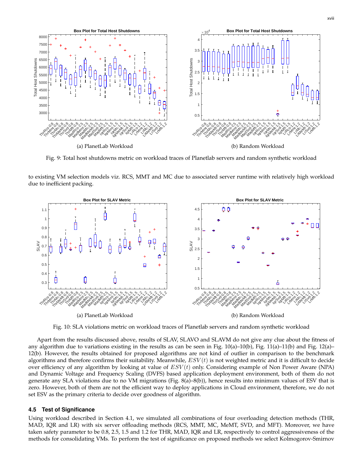<span id="page-18-0"></span>

Fig. 9: Total host shutdowns metric on workload traces of Planetlab servers and random synthetic workload

to existing VM selection models viz. RCS, MMT and MC due to associated server runtime with relatively high workload due to inefficient packing.

<span id="page-18-1"></span>

Fig. 10: SLA violations metric on workload traces of Planetlab servers and random synthetic workload

Apart from the results discussed above, results of SLAV, SLAVO and SLAVM do not give any clue about the fitness of any algorithm due to variations existing in the results as can be seen in Fig.  $10(a)-10(b)$ , Fig.  $11(a)-11(b)$  and Fig.  $12(a)$ [12\(b\).](#page-19-1) However, the results obtained for proposed algorithms are not kind of outlier in comparison to the benchmark algorithms and therefore confirms their suitability. Meanwhile,  $ESV(t)$  is not weighted metric and it is difficult to decide over efficiency of any algorithm by looking at value of  $ESV(t)$  only. Considering example of Non Power Aware (NPA) and Dynamic Voltage and Frequency Scaling (DVFS) based application deployment environment, both of them do not generate any SLA violations due to no VM migrations (Fig. [8\(a\)–8\(b\)\)](#page-17-1), hence results into minimum values of ESV that is zero. However, both of them are not the efficient way to deploy applications in Cloud environment, therefore, we do not set ESV as the primary criteria to decide over goodness of algorithm.

## **4.5 Test of Significance**

Using workload described in Section [4.1,](#page-12-3) we simulated all combinations of four overloading detection methods (THR, MAD, IQR and LR) with six server offloading methods (RCS, MMT, MC, MeMT, SVD, and MFT). Moreover, we have taken safety parameter to be 0.8, 2.5, 1.5 and 1.2 for THR, MAD, IQR and LR, respectively to control aggressiveness of the methods for consolidating VMs. To perform the test of significance on proposed methods we select Kolmogorov-Smirnov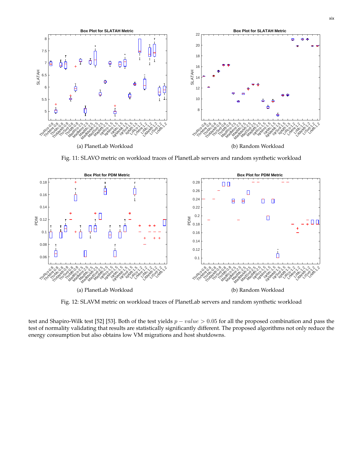<span id="page-19-0"></span>

Fig. 11: SLAVO metric on workload traces of PlanetLab servers and random synthetic workload

<span id="page-19-1"></span>

Fig. 12: SLAVM metric on workload traces of PlanetLab servers and random synthetic workload

test and Shapiro-Wilk test [\[52\]](#page-21-36) [\[53\]](#page-21-37). Both of the test yields  $p-value > 0.05$  for all the proposed combination and pass the test of normality validating that results are statistically significantly different. The proposed algorithms not only reduce the energy consumption but also obtains low VM migrations and host shutdowns.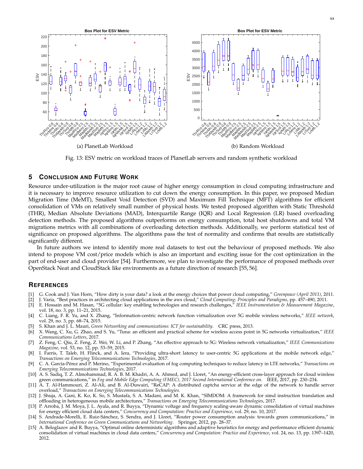<span id="page-20-16"></span>

Fig. 13: ESV metric on workload traces of PlanetLab servers and random synthetic workload

# <span id="page-20-15"></span>**5 CONCLUSION AND FUTURE WORK**

Resource under-utilization is the major root cause of higher energy consumption in cloud computing infrastructure and it is necessary to improve resource utilization to cut down the energy consumption. In this paper, we proposed Median Migration Time (MeMT), Smallest Void Detection (SVD) and Maximum Fill Technique (MFT) algorithms for efficient consolidation of VMs on relatively small number of physical hosts. We tested proposed algorithm with Static Threshold (THR), Median Absolute Deviations (MAD), Interquartile Range (IQR) and Local Regression (LR) based overloading detection methods. The proposed algorithms outperforms on energy consumption, total host shutdowns and total VM migrations metrics with all combinations of overloading detection methods. Additionally, we perform statistical test of significance on proposed algorithms. The algorithms pass the test of normality and confirms that results are statistically significantly different.

In future authors we intend to identify more real datasets to test out the behaviour of proposed methods. We also intend to propose VM cost/price models which is also an important and exciting issue for the cost optimization in the part of end-user and cloud provider [\[54\]](#page-21-38). Furthermore, we plan to investigate the performance of proposed methods over OpenStack Neat and CloudStack like environments as a future direction of research [\[55,](#page-21-39) [56\]](#page-21-40).

## **REFERENCES**

- <span id="page-20-0"></span>[1] G. Cook and J. Van Horn, "How dirty is your data? a look at the energy choices that power cloud computing," *Greenpeace (April 2011)*, 2011.
- <span id="page-20-1"></span>[2] J. Varia, "Best practices in architecting cloud applications in the aws cloud," *Cloud Computing: Principles and Paradigms*, pp. 457–490, 2011.
- <span id="page-20-2"></span>[3] E. Hossain and M. Hasan, "5G cellular: key enabling technologies and research challenges," *IEEE Instrumentation & Measurement Magazine*, vol. 18, no. 3, pp. 11–21, 2015.
- <span id="page-20-3"></span>[4] C. Liang, F. R. Yu, and X. Zhang, "Information-centric network function virtualization over 5G mobile wireless networks," *IEEE network*, vol. 29, no. 3, pp. 68–74, 2015.
- <span id="page-20-4"></span>[5] S. Khan and J. L. Mauri, *Green Networking and communications: ICT for sustainability*. CRC press, 2013.
- <span id="page-20-5"></span>[6] X. Wang, C. Xu, G. Zhao, and S. Yu, "Tuna: an efficient and practical scheme for wireless access point in 5G networks virtualization," *IEEE Communications Letters*, 2017.
- <span id="page-20-6"></span>[7] Z. Feng, C. Qiu, Z. Feng, Z. Wei, W. Li, and P. Zhang, "An effective approach to 5G: Wireless network virtualization," *IEEE Communications Magazine*, vol. 53, no. 12, pp. 53–59, 2015.
- <span id="page-20-7"></span>[8] I. Farris, T. Taleb, H. Flinck, and A. Iera, "Providing ultra-short latency to user-centric 5G applications at the mobile network edge," *Transactions on Emerging Telecommunications Technologies*, 2017.
- <span id="page-20-8"></span>[9] C. A. García-Pérez and P. Merino, "Experimental evaluation of fog computing techniques to reduce latency in LTE networks," Transactions on *Emerging Telecommunications Technologies*, 2017.
- <span id="page-20-9"></span>[10] A. S. Sadiq, T. Z. Almohammad, R. A. B. M. Khadri, A. A. Ahmed, and J. Lloret, "An energy-efficient cross-layer approach for cloud wireless green communications," in *Fog and Mobile Edge Computing (FMEC), 2017 Second International Conference on*. IEEE, 2017, pp. 230–234.
- <span id="page-20-10"></span>[11] A. T. Al-Hammouri, Z. Al-Ali, and B. Al-Duwairi, "ReCAP: A distributed captcha service at the edge of the network to handle server overload," *Transactions on Emerging Telecommunications Technologies*.
- <span id="page-20-11"></span>[12] J. Shuja, A. Gani, K. Ko, K. So, S. Mustafa, S. A. Madani, and M. K. Khan, "SIMDOM: A framework for simd instruction translation and offloading in heterogeneous mobile architectures," *Transactions on Emerging Telecommunications Technologies*, 2017.
- <span id="page-20-12"></span>[13] P. Arroba, J. M. Moya, J. L. Ayala, and R. Buyya, "Dynamic voltage and frequency scaling-aware dynamic consolidation of virtual machines for energy efficient cloud data centers," *Concurrency and Computation: Practice and Experience*, vol. 29, no. 10, 2017.
- <span id="page-20-13"></span>[14] S. Andrade-Morelli, E. Ruiz-Sanchez, S. Sendra, and J. Lloret, "Router power consumption analysis: towards green communications," in ´ *International Conference on Green Communications and Networking*. Springer, 2012, pp. 28–37.
- <span id="page-20-14"></span>[15] A. Beloglazov and R. Buyya, "Optimal online deterministic algorithms and adaptive heuristics for energy and performance efficient dynamic consolidation of virtual machines in cloud data centers," *Concurrency and Computation: Practice and Experience*, vol. 24, no. 13, pp. 1397–1420, 2012.